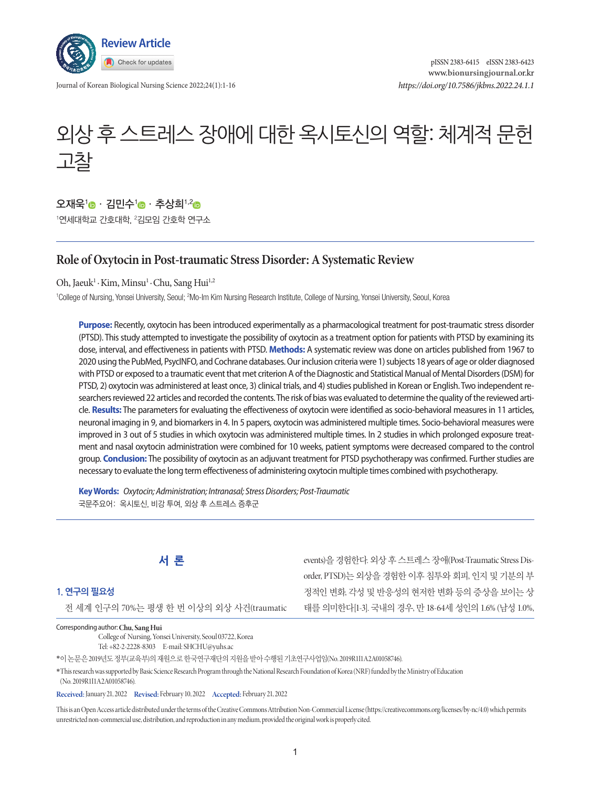

Journal of Korean Biological Nursing Science 2022;24(1):1-16

# 외상 후 스트레스 장애에 대한 옥시토신의 역할: 체계적 문헌 고찰

# 오재욱<sup>1</sup> · 김민수<sup>1</sup> · 추상희<sup>1,2</sup> ·

'연세대학교 간호대학, <del>'</del>김모임 간호학 연구소

## **Role of Oxytocin in Post-traumatic Stress Disorder: A Systematic Review**

Oh, Jaeuk<sup>1</sup> · Kim, Minsu<sup>1</sup> · Chu, Sang Hui<sup>1,2</sup>

<sup>1</sup>College of Nursing, Yonsei University, Seoul; <sup>2</sup>Mo-Im Kim Nursing Research Institute, College of Nursing, Yonsei University, Seoul, Korea

**Purpose:** Recently, oxytocin has been introduced experimentally as a pharmacological treatment for post-traumatic stress disorder (PTSD). This study attempted to investigate the possibility of oxytocin as a treatment option for patients with PTSD by examining its dose, interval, and effectiveness in patients with PTSD. **Methods:** A systematic review was done on articles published from 1967 to 2020 using the PubMed, PsycINFO, and Cochrane databases. Our inclusion criteria were 1) subjects 18 years of age or older diagnosed with PTSD or exposed to a traumatic event that met criterion A of the Diagnostic and Statistical Manual of Mental Disorders (DSM) for PTSD, 2) oxytocin was administered at least once, 3) clinical trials, and 4) studies published in Korean or English. Two independent researchers reviewed 22 articles and recorded the contents. The risk of bias was evaluated to determine the quality of the reviewed article. **Results:** The parameters for evaluating the effectiveness of oxytocin were identified as socio-behavioral measures in 11 articles, neuronal imaging in 9, and biomarkers in 4. In 5 papers, oxytocin was administered multiple times. Socio-behavioral measures were improved in 3 out of 5 studies in which oxytocin was administered multiple times. In 2 studies in which prolonged exposure treatment and nasal oxytocin administration were combined for 10 weeks, patient symptoms were decreased compared to the control group. **Conclusion:** The possibility of oxytocin as an adjuvant treatment for PTSD psychotherapy was confirmed. Further studies are necessary to evaluate the long term effectiveness of administering oxytocin multiple times combined with psychotherapy.

**Key Words:** *Oxytocin; Administration; Intranasal; Stress Disorders; Post-Traumatic* 국문주요어: 옥시토신, 비강 투여, 외상 후 스트레스 증후군



### **1. 연구의 필요성**

전 세계 인구의 70%는 평생 한 번 이상의 외상 사건(traumatic

Corresponding author:**Chu, Sang Hui** 

College of Nursing, Yonsei University, Seoul 03722, Korea Tel: +82-2-2228-8303 E-mail: SHCHU@yuhs.ac

\*이논문은 2019년도정부(교육부)의재원으로한국연구재단의지원을받아수행된기초연구사업임(No. 2019R1I1A2A01058746).

\* This research was supported by Basic Science Research Program through the National Research Foundation of Korea (NRF) funded by the Ministry of Education (No. 2019R1I1A2A01058746).

**Received:** January 21, 2022 **Revised:** February 10, 2022 **Accepted:** February 21, 2022

This is an Open Access article distributed under the terms of the Creative Commons Attribution Non-Commercial License (https://creativecommons.org/licenses/by-nc/4.0) which permits unrestricted non-commercial use, distribution, and reproduction in any medium, provided the original work is properly cited.

events)을 경험한다. 외상 후 스트레스 장애(Post-Traumatic Stress Disorder, PTSD)는 외상을 경험한 이후 침투와 회피, 인지 및 기분의 부 정적인 변화, 각성 및 반응성의 현저한 변화 등의 증상을 보이는 상 태를 의미한다[1-3]. 국내의 경우, 만 18-64세 성인의 1.6% (남성 1.0%,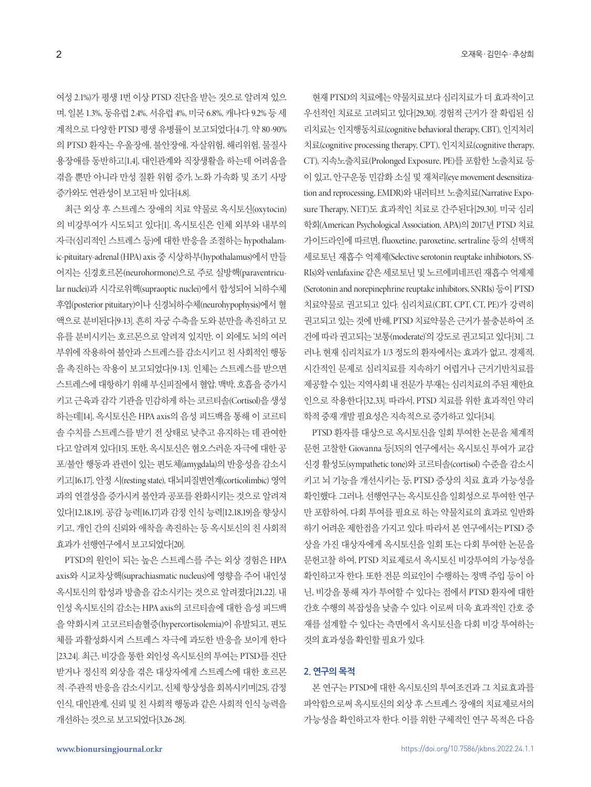여성 2.1%)가 평생 1번 이상 PTSD 진단을 받는 것으로 알려져 있으 며, 일본 1.3%, 동유럽 2.4%, 서유럽 4%, 미국 6.8%, 캐나다 9.2% 등 세 계적으로 다양한 PTSD 평생 유병률이 보고되었다[4-7]. 약 80-90% 의 PTSD 환자는 우울장애, 불안장애, 자살위험, 해리위험, 물질사 용장애를 동반하고[1,4], 대인관계와 직장생활을 하는데 어려움을 겪을 뿐만 아니라 만성 질환 위험 증가, 노화 가속화 및 조기 사망 증가와도 연관성이 보고된 바 있다[4,8].

최근 외상 후 스트레스 장애의 치료 약물로 옥시토신(oxytocin) 의 비강투여가 시도되고 있다[1]. 옥시토신은 인체 외부와 내부의 자극(심리적인 스트레스 등)에 대한 반응을 조절하는 hypothalamic-pituitary-adrenal (HPA) axis 중 시상하부(hypothalamus)에서 만들 어지는 신경호르몬(neurohormone)으로 주로 실방핵(paraventricular nuclei)과 시각로위핵(supraoptic nuclei)에서 합성되어 뇌하수체 후엽(posterior pituitary)이나 신경뇌하수체(neurohypophysis)에서 혈 액으로 분비된다[9-13]. 흔히 자궁 수축을 도와 분만을 촉진하고 모 유를 분비시키는 호르몬으로 알려져 있지만, 이 외에도 뇌의 여러 부위에 작용하여 불안과 스트레스를 감소시키고 친 사회적인 행동 을 촉진하는 작용이 보고되었다[9-13]. 인체는 스트레스를 받으면 스트레스에 대항하기 위해 부신피질에서 혈압, 맥박, 호흡을 증가시 키고 근육과 감각 기관을 민감하게 하는 코르티솔(Cortisol)을 생성 하는데[14], 옥시토신은 HPA axis의 음성 피드백을 통해 이 코르티 솔 수치를 스트레스를 받기 전 상태로 낮추고 유지하는 데 관여한 다고 알려져 있다[15]. 또한, 옥시토신은 혐오스러운 자극에 대한 공 포/불안 행동과 관련이 있는 편도체(amygdala)의 반응성을 감소시 키고[16,17], 안정 시(resting state), 대뇌피질변연계(corticolimbic) 영역 과의 연결성을 증가시켜 불안과 공포를 완화시키는 것으로 알려져 있다[12,18,19]. 공감 능력[16,17]과 감정 인식 능력[12,18,19]을 향상시 키고, 개인 간의 신뢰와 애착을 촉진하는 등 옥시토신의 친 사회적 효과가 선행연구에서 보고되었다[20].

PTSD의 원인이 되는 높은 스트레스를 주는 외상 경험은 HPA axis와 시교차상핵(suprachiasmatic nucleus)에 영향을 주어 내인성 옥시토신의 합성과 방출을 감소시키는 것으로 알려졌다[21,22]. 내 인성 옥시토신의 감소는 HPA axis의 코르티솔에 대한 음성 피드백 을 약화시켜 고코르티솔혈증(hypercortisolemia)이 유발되고, 편도 체를 과활성화시켜 스트레스 자극에 과도한 반응을 보이게 한다 [23,24]. 최근, 비강을 통한 외인성 옥시토신의 투여는 PTSD를 진단 받거나 정신적 외상을 겪은 대상자에게 스트레스에 대한 호르몬 적·주관적 반응을 감소시키고, 신체 항상성을 회복시키며[25], 감정 인식, 대인관계, 신뢰 및 친 사회적 행동과 같은 사회적 인식 능력을 개선하는것으로보고되었다[3,26-28].

현재 PTSD의 치료에는 약물치료보다 심리치료가 더 효과적이고 우선적인 치료로 고려되고 있다[29,30]. 경험적 근거가 잘 확립된 심 리치료는 인지행동치료(cognitive behavioral therapy, CBT), 인지처리 치료(cognitive processing therapy, CPT), 인지치료(cognitive therapy, CT), 지속노출치료(Prolonged Exposure, PE)를 포함한 노출치료 등 이 있고, 안구운동 민감화 소실 및 재처리(eye movement desensitization and reprocessing, EMDR)와 내러티브 노출치료(Narrative Exposure Therapy, NET)도 효과적인 치료로 간주된다[29,30]. 미국 심리 학회(American Psychological Association, APA)의 2017년 PTSD 치료 가이드라인에 따르면, fluoxetine, paroxetine, sertraline 등의 선택적 세로토닌 재흡수 억제제(Selective serotonin reuptake inhibiotors, SS-RIs)와 venlafaxine 같은세로토닌및노르에피네프린재흡수억제제 (Serotonin and norepinephrine reuptake inhibitors, SNRIs) 등이 PTSD 치료약물로 권고되고 있다. 심리치료(CBT, CPT, CT, PE)가 강력히 권고되고 있는 것에 반해, PTSD 치료약물은 근거가 불충분하여 조 건에 따라 권고되는 '보통(moderate)'의 강도로 권고되고 있다[31]. 그 러나, 현재 심리치료가 1/3 정도의 환자에서는 효과가 없고, 경제적, 시간적인 문제로 심리치료를 지속하기 어렵거나 근거기반치료를 제공할수있는지역사회내전문가부재는심리치료의주된제한요 인으로 작용한다[32,33]. 따라서, PTSD 치료를 위한 효과적인 약리 학적중재개발필요성은지속적으로증가하고있다[34].

PTSD 환자를 대상으로 옥시토신을 일회 투여한 논문을 체계적 문헌 고찰한 Giovanna 등[35]의 연구에서는 옥시토신 투여가 교감 신경 활성도(sympathetic tone)와 코르티솔(cortisol) 수준을 감소시 키고 뇌 기능을 개선시키는 등, PTSD 증상의 치료 효과 가능성을 확인했다. 그러나, 선행연구는 옥시토신을 일회성으로 투여한 연구 만 포함하여, 다회 투여를 필요로 하는 약물치료의 효과로 일반화 하기 어려운 제한점을 가지고 있다. 따라서 본 연구에서는 PTSD 증 상을 가진 대상자에게 옥시토신을 일회 또는 다회 투여한 논문을 문헌고찰 하여, PTSD 치료제로서 옥시토신 비강투여의 가능성을 확인하고자 한다. 또한 전문 의료인이 수행하는 정맥 주입 등이 아 닌, 비강을 통해 자가 투여할 수 있다는 점에서 PTSD 환자에 대한 간호 수행의 복잡성을 낮출 수 있다. 이로써 더욱 효과적인 간호 중 재를 설계할 수 있다는 측면에서 옥시토신을 다회 비강 투여하는 것의효과성을확인할필요가있다.

#### **2. 연구의 목적**

본 연구는 PTSD에 대한 옥시토신의 투여조건과 그 치료효과를 파악함으로써 옥시토신의 외상 후 스트레스 장애의 치료제로서의 가능성을 확인하고자 한다. 이를 위한 구체적인 연구 목적은 다음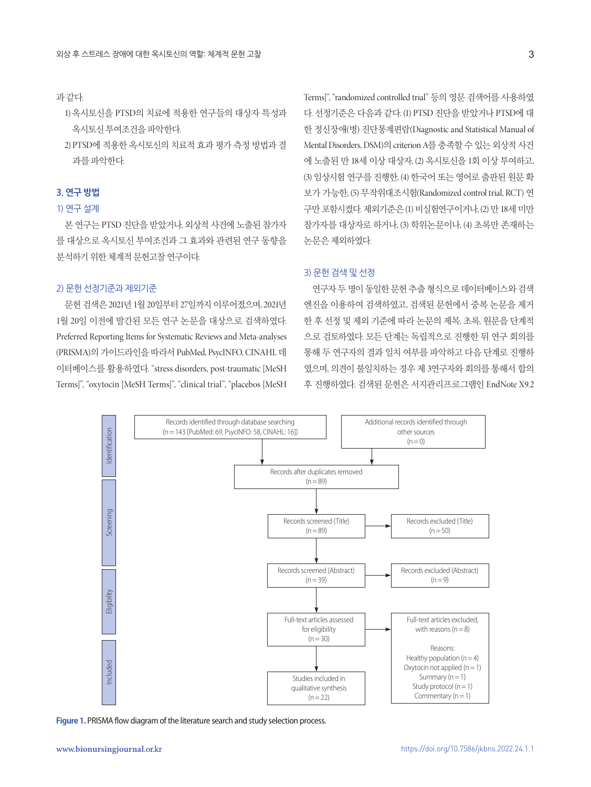#### 과같다.

- 1) 옥시토신을 PTSD의 치료에 적용한 연구들의 대상자 특성과 옥시토신투여조건을파악한다.
- 2) PTSD에 적용한 옥시토신의 치료적 효과 평가 측정 방법과 결 과를파악한다.

#### **3. 연구 방법**

#### 1) 연구 설계

본 연구는 PTSD 진단을 받았거나, 외상적 사건에 노출된 참가자 를 대상으로 옥시토신 투여조건과 그 효과와 관련된 연구 동향을 분석하기 위한 체계적 문헌고찰 연구이다.

#### 2) 문헌 선정기준과 제외기준

문헌 검색은 2021년 1월 20일부터 27일까지 이루어졌으며, 2021년 1월 20일 이전에 발간된 모든 연구 논문을 대상으로 검색하였다. Preferred Reporting Items for Systematic Reviews and Meta-analyses (PRISMA)의 가이드라인을 따라서 PubMed, PsycINFO, CINAHL 데 이터베이스를 활용하였다. "stress disorders, post-traumatic [MeSH Terms]", "oxytocin [MeSH Terms]", "clinical trial", "placebos [MeSH

Terms]", "randomized controlled trial" 등의 영문 검색어를 사용하였 다. 선정기준은 다음과 같다. (1) PTSD 진단을 받았거나 PTSD에 대 한 정신장애(병) 진단통계편람(Diagnostic and Statistical Manual of Mental Disorders, DSM)의 criterion A를 충족할 수 있는 외상적 사건 에 노출된 만 18세 이상 대상자, (2) 옥시토신을 1회 이상 투여하고, (3) 임상시험 연구를 진행한, (4) 한국어 또는 영어로 출판된 원문 확 보가 가능한, (5) 무작위대조시험(Randomized control trial, RCT) 연 구만 포함시켰다. 제외기준은 (1) 비실험연구이거나, (2) 만 18세 미만 참가자를 대상자로 하거나, (3) 학위논문이나, (4) 초록만 존재하는 논문은제외하였다.

#### 3) 문헌 검색 및 선정

연구자 두 명이 동일한 문헌 추출 형식으로 데이터베이스와 검색 엔진을 이용하여 검색하였고, 검색된 문헌에서 중복 논문을 제거 한 후 선정 및 제외 기준에 따라 논문의 제목, 초록, 원문을 단계적 으로 검토하였다. 모든 단계는 독립적으로 진행한 뒤 연구 회의를 통해 두 연구자의 결과 일치 여부를 파악하고 다음 단계로 진행하 였으며, 의견이 불일치하는 경우 제 3연구자와 회의를 통해서 합의 후 진행하였다. 검색된 문헌은 서지관리프로그램인 EndNote X9.2

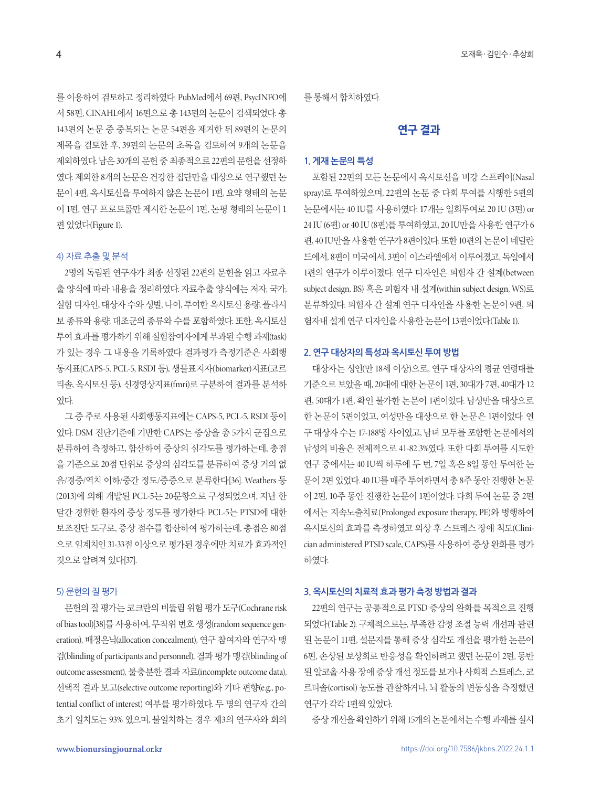를 이용하여 검토하고 정리하였다. PubMed에서 69편, PsycINFO에 서 58편, CINAHL에서 16편으로 총 143편의 논문이 검색되었다. 총 143편의 논문 중 중복되는 논문 54편을 제거한 뒤 89편의 논문의 제목을 검토한 후, 39편의 논문의 초록을 검토하여 9개의 논문을 제외하였다. 남은 30개의문헌중최종적으로 22편의문헌을선정하 였다. 제외한 8개의 논문은 건강한 집단만을 대상으로 연구했던 논 문이 4편, 옥시토신을 투여하지 않은 논문이 1편, 요약 형태의 논문 이 1편, 연구 프로토콜만 제시한 논문이 1편, 논평 형태의 논문이 1 편있었다(Figure 1).

#### 4) 자료 추출 및 분석

2명의 독립된 연구자가 최종 선정된 22편의 문헌을 읽고 자료추 출 양식에 따라 내용을 정리하였다. 자료추출 양식에는 저자, 국가, 실험 디자인, 대상자 수와 성별, 나이, 투여한 옥시토신 용량, 플라시 보 종류와 용량, 대조군의 종류와 수를 포함하였다. 또한, 옥시토신 투여 효과를 평가하기 위해 실험참여자에게 부과된 수행 과제(task) 가 있는 경우 그 내용을 기록하였다. 결과평가 측정기준은 사회행 동지표(CAPS-5, PCL-5, RSDI 등), 생물표지자(biomarker)지표(코르 티솔, 옥시토신 등), 신경영상지표(fmri)로 구분하여 결과를 분석하 였다.

그 중 주로 사용된 사회행동지표에는 CAPS-5, PCL-5, RSDI 등이 있다. DSM 진단기준에 기반한 CAPS는 증상을 총 5가지 군집으로 분류하여 측정하고, 합산하여 증상의 심각도를 평가하는데, 총점 을 기준으로 20점 단위로 증상의 심각도를 분류하여 증상 거의 없 음/경증/역치 이하/중간 정도/중증으로 분류한다[36]. Weathers 등 (2013)에 의해 개발된 PCL-5는 20문항으로 구성되었으며, 지난 한 달간 경험한 환자의 증상 정도를 평가한다. PCL-5는 PTSD에 대한 보조진단 도구로, 증상 점수를 합산하여 평가하는데, 총점은 80점 으로 임계치인 31-33점 이상으로 평가된 경우에만 치료가 효과적인 것으로알려져있다[37].

#### 5) 문헌의 질 평가

문헌의 질 평가는 코크란의 비뚤림 위험 평가 도구(Cochrane risk of bias tool)[38]를 사용하여, 무작위 번호 생성(random sequence generation), 배정은닉(allocation concealment), 연구 참여자와 연구자 맹 검(blinding of participants and personnel), 결과 평가 맹검(blinding of outcome assessment), 불충분한 결과 자료(incomplete outcome data), 선택적 결과 보고(selective outcome reporting)와 기타 편향(e.g., potential conflict of interest) 여부를 평가하였다. 두 명의 연구자 간의 초기 일치도는 93% 였으며, 불일치하는 경우 제3의 연구자와 회의

를통해서합치하였다.

## **연구 결과**

#### **1. 게재 논문의 특성**

포함된 22편의 모든 논문에서 옥시토신을 비강 스프레이(Nasal spray)로 투여하였으며, 22편의 논문 중 다회 투여를 시행한 5편의 논문에서는 40 IU를 사용하였다. 17개는 일회투여로 20 IU (3편) or 24 IU (6편) or 40 IU (8편)를 투여하였고, 20 IU만을 사용한 연구가 6 편, 40 IU만을 사용한 연구가 8편이었다. 또한 10편의 논문이 네덜란 드에서, 8편이 미국에서, 3편이 이스라엘에서 이루어졌고, 독일에서 1편의 연구가 이루어졌다. 연구 디자인은 피험자 간 설계(between subject design, BS) 혹은 피험자 내 설계(within subject design, WS)로 분류하였다. 피험자 간 설계 연구 디자인을 사용한 논문이 9편, 피 험자내 설계 연구 디자인을 사용한 논문이 13편이었다(Table 1).

#### **2. 연구 대상자의 특성과 옥시토신 투여 방법**

대상자는 성인(만 18세 이상)으로, 연구 대상자의 평균 연령대를 기준으로 보았을 때, 20대에 대한 논문이 1편, 30대가 7편, 40대가 12 편, 50대가 1편, 확인 불가한 논문이 1편이었다. 남성만을 대상으로 한 논문이 5편이었고, 여성만을 대상으로 한 논문은 1편이었다. 연 구 대상자 수는 17-188명 사이였고, 남녀 모두를 포함한 논문에서의 남성의 비율은 전체적으로 41-82.3%였다. 또한 다회 투여를 시도한 연구 중에서는 40 IU씩 하루에 두 번, 7일 혹은 8일 동안 투여한 논 문이 2편 있었다. 40 IU를 매주 투여하면서 총 8주 동안 진행한 논문 이 2편, 10주 동안 진행한 논문이 1편이었다. 다회 투여 논문 중 2편 에서는 지속노출치료(Prolonged exposure therapy, PE)와 병행하여 옥시토신의 효과를 측정하였고 외상 후 스트레스 장애 척도(Clinician administered PTSD scale, CAPS)를 사용하여 증상 완화를 평가 하였다.

#### **3. 옥시토신의 치료적 효과 평가 측정 방법과 결과**

22편의 연구는 공통적으로 PTSD 증상의 완화를 목적으로 진행 되었다(Table 2). 구체적으로는, 부족한 감정 조절 능력 개선과 관련 된 논문이 11편, 설문지를 통해 증상 심각도 개선을 평가한 논문이 6편, 손상된 보상회로 반응성을 확인하려고 했던 논문이 2편, 동반 된 알코올 사용 장애 증상 개선 정도를 보거나 사회적 스트레스, 코 르티솔(cortisol) 농도를 관찰하거나, 뇌 활동의 변동성을 측정했던 연구가 각각 1편씩 있었다.

증상개선을확인하기위해 15개의논문에서는수행과제를실시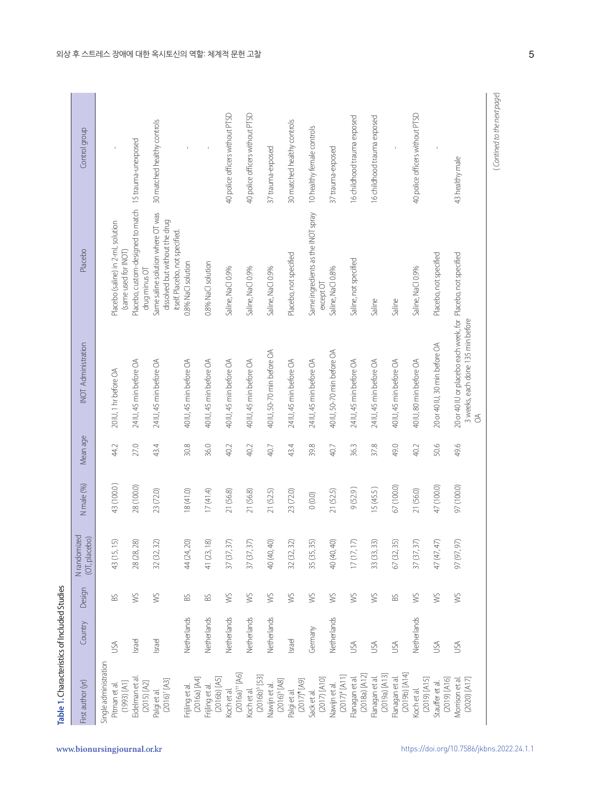|                                             | Country     | Design        | (OT, placebo) | N male (%) | Mean age | INOT Administration                                                                                           | Placebo                                                                                                | Control group                   |
|---------------------------------------------|-------------|---------------|---------------|------------|----------|---------------------------------------------------------------------------------------------------------------|--------------------------------------------------------------------------------------------------------|---------------------------------|
| Single administration                       |             |               |               |            |          |                                                                                                               |                                                                                                        |                                 |
| $(1993)$ $[$ A1]<br>Pitman et al.           | USA         | BS.           | 43 (15, 15)   | 43 (100.0) | 44.2     | 20 IU, 1 hr before OA                                                                                         | Placebo (saline) in 2-mL solution<br>(same used for INOT)                                              |                                 |
| Eidelman et al<br>$(2015)$ $[A2]$           | Israel      | SM            | 28 (28, 28)   | 28 (100.0) | 27.0     | 24 IU, 45 min before OA                                                                                       | Placebo, custom-designed to match 15 trauma-unexposed<br>drug minus OT                                 |                                 |
| $(2016)^{+}[A3]$<br>Palgi et al.            | Israel      | WS            | 32 (32, 32)   | 23 (72.0)  | 43.4     | 24 IU, 45 min before OA                                                                                       | Same saline solution where OT was<br>dissolved but without the drug<br>itself. Placebo, not specified. | 30 matched healthy controls     |
| (2016a) [A4]<br>Frijling et al.             | Netherlands | SS            | 44 (24, 20)   | 18 (41.0)  | 30.8     | 40 IU, 45 min before OA                                                                                       | 0.8% NaCl solution                                                                                     |                                 |
| $(2016b)$ [A5]<br>Frijling et al.           | Netherlands | BS.           | 41 (23, 18)   | 17(41.4)   | 36.0     | 40 IU, 45 min before OA                                                                                       | 0.8% NaCl solution                                                                                     | $\mathsf{I}$                    |
| $(2016a)$ <sup>++</sup> [A6]<br>Koch et al. | Netherlands | SW            | 37 (37, 37)   | 21 (56.8)  | 40.2     | 40 IU, 45 min before OA                                                                                       | Saline, NaCl 0.9%                                                                                      | 40 police officers without PTSD |
| $(2016b)$ <sup>§</sup> [53]<br>Koch et al.  | Netherlands | SW            | 37 (37, 37)   | 21 (56.8)  | 40.2     | 40 IU, 45 min before OA                                                                                       | Saline, NaCl 0.9%                                                                                      | 40 police officers without PTSD |
| $(2016)^{5}$ [A8]<br>Nawijn et al.          | Netherlands | WS            | 40 (40, 40)   | 21 (52.5)  | 40.7     | 40 IU, 50-70 min before OA                                                                                    | Saline, NaCl 0.9%                                                                                      | 37 trauma-exposed               |
| $[64]$ $(2017)'$<br>Palgi et al.            | Israel      | SW            | 32 (32, 32)   | 23 (72.0)  | 43.4     | 24 IU, 45 min before OA                                                                                       | Placebo, not specified                                                                                 | 30 matched healthy controls     |
| $(2017)$ [A10]<br>Sack et al.               | Germany     | $\frac{1}{2}$ | 35 (35, 35)   | 0(0.0)     | 39.8     | 24 IU, 45 min before OA                                                                                       | Same ingredients as the INOT spray<br>$except$ OT                                                      | 10 healthy female controls      |
| $(2017)^*$ [A11]<br>Nawijn et al.           | Netherlands | WS            | 40 (40, 40)   | 21 (52.5)  | 40.7     | 40 IU, 50-70 min before OA                                                                                    | Saline, NaCl 0.8%                                                                                      | 37 trauma-exposed               |
| (2018a) [A12]<br>Flanagan et al.            | USA         | SW            | 17(17, 17)    | 9(52.9)    | 36.3     | 24 IU, 45 min before OA                                                                                       | Saline, not specified                                                                                  | 16 childhood trauma exposed     |
| (2019a) [A13]<br>Flanagan et al.            | USA         | SW            | 33 (33, 33)   | 15 (45.5)  | 37.8     | 24 IU, 45 min before OA                                                                                       | Saline                                                                                                 | 16 childhood trauma exposed     |
| (2019b) [A14]<br>Flanagan et al.            | USA         | SS            | 67 (32, 35)   | 67 (100.0) | 49.0     | 40 IU, 45 min before OA                                                                                       | Saline                                                                                                 |                                 |
| $(2019)$ [A15]<br>Koch et al.               | Netherlands | WS            | 37 (37, 37)   | 21 (56.0)  | 40.2     | 40 IU, 80 min before OA                                                                                       | Saline, NaCl 0.9%                                                                                      | 40 police officers without PTSD |
| $(2019)$ [A16]<br>Stauffer et al.           | USA         | SM            | 47 (47, 47)   | 47 (100.0) | 50.6     | 20 or 40 IU, 30 min before OA                                                                                 | Placebo, not specified                                                                                 |                                 |
| $(2020)$ $[A17]$<br>Morrison et al          | USA         | SM            | 97 (97, 97)   | 97 (100.0) | 49.6     | 20 or 40 IU or placebo each week, for Placebo, not specified<br>3 weeks, each done 135 min before<br>$\delta$ |                                                                                                        | 43 healthy male                 |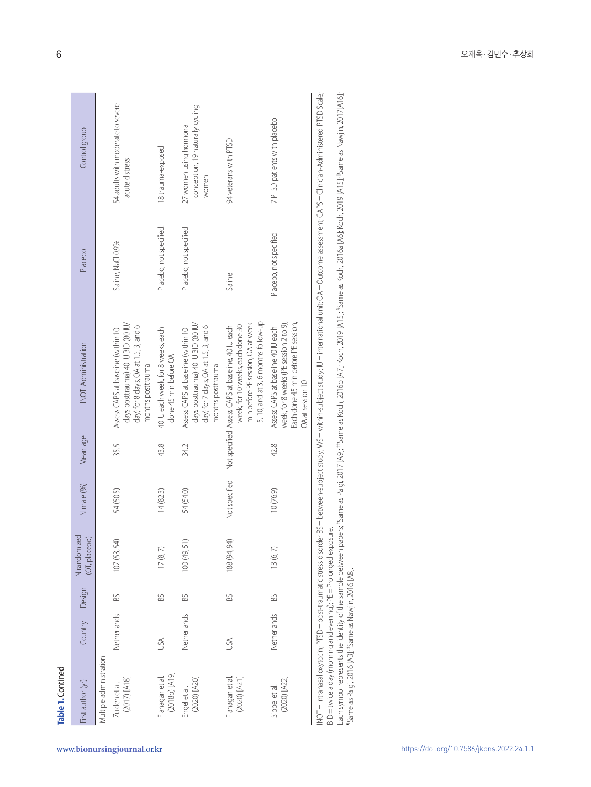| Table 1. Contined                                                                                                                      |             |        |                               |               |          |                                                                                                                                                                                                                                                                                                                                              |                         |                                                                      |
|----------------------------------------------------------------------------------------------------------------------------------------|-------------|--------|-------------------------------|---------------|----------|----------------------------------------------------------------------------------------------------------------------------------------------------------------------------------------------------------------------------------------------------------------------------------------------------------------------------------------------|-------------------------|----------------------------------------------------------------------|
| First author (yr)                                                                                                                      | Country     | Design | N randomized<br>(OT, placebo) | N male (%)    | Mean age | INOT Administration                                                                                                                                                                                                                                                                                                                          | Placebo                 | Control group                                                        |
| Multiple administration                                                                                                                |             |        |                               |               |          |                                                                                                                                                                                                                                                                                                                                              |                         |                                                                      |
| $(2017)$ [A18]<br>Zuiden et al.                                                                                                        | Netherlands | BS     | 107 (53, 54)                  | 54 (50.5)     | 35.5     | days posttrauma) 40 IU BID (80 IU/<br>day) for 8 days, OA at 1.5, 3, and 6<br>Assess CAPS at baseline (within 10<br>months posttrauma                                                                                                                                                                                                        | Saline, NaCl 0.9%       | 54 adults with moderate to severe<br>acute distress                  |
| [2018b) [A19]<br>Flanagan et al.                                                                                                       | USA         | BS     | $17 \, (8,7)$                 | 14(82.3)      | 43.8     | 40 IU each week, for 8 weeks, each<br>done 45 min before OA                                                                                                                                                                                                                                                                                  | Placebo, not specified. | 18 trauma-exposed                                                    |
| $(2020)$ $[A20]$<br>Engel et al.                                                                                                       | Netherlands | SS     | 100(49, 51)                   | 54 (54.0)     | 34.2     | days posttrauma) 40 IU BID (80 IU/<br>day) for 7 days, OA at 1.5, 3, and 6<br>Assess CAPS at baseline (within 10<br>months posttrauma                                                                                                                                                                                                        | Placebo, not specified  | conception, 19 naturally cycling<br>27 women using hormonal<br>women |
| (2020) [A21]<br>Flanagan et al                                                                                                         | USA         | SS     | 188 (94, 94)                  | Not specified |          | 5, 10, and at 3, 6 months follow-up<br>min before PE session, OA at week<br>week, for 10 weeks, each done 30<br>Not specified Assess CAPS at baseline, 40 IU each                                                                                                                                                                            | Saline                  | 94 veterans with PTSD                                                |
| $(2020)$ $[A22]$<br>Sippel et al.                                                                                                      | Netherlands | BS     | 13(6, 7)                      | 10(76.9)      | 42.8     | Each done 45 min before PE session,<br>week, for 8 weeks (PE session 2 to 9),<br>Assess CAPS at baseline 40 IU each<br>OA at session 10                                                                                                                                                                                                      | Placebo, not specified  | 7 PTSD patients with placebo                                         |
| BID = twice a day (morning and evening); PE = Prolonged exposure.<br>INOT = Intranasal oxytocin; PTSD = post-traumatic stress disorder |             |        |                               |               |          | Each symbol represents the identity of the sample between papers; "Same as Palgi, 2017 [A9]; "Same as Koch, 2019 [A15]; "Same as Koch, 2016 [A6]; Koch, 2019 [A15]; "Same as Nawjin, 2017[A16];<br>BS=between-subject study; WS=within-subject study; IU= international unit; OA=Outcome assessment; CAPS=Clinician-Administered PTSD Scale; |                         |                                                                      |
| "Same as Palgi, 2016 [A3]; "Same as Nawjin, 2016 [A8].                                                                                 |             |        |                               |               |          |                                                                                                                                                                                                                                                                                                                                              |                         |                                                                      |
|                                                                                                                                        |             |        |                               |               |          |                                                                                                                                                                                                                                                                                                                                              |                         |                                                                      |
|                                                                                                                                        |             |        |                               |               |          |                                                                                                                                                                                                                                                                                                                                              |                         |                                                                      |
|                                                                                                                                        |             |        |                               |               |          |                                                                                                                                                                                                                                                                                                                                              |                         |                                                                      |
|                                                                                                                                        |             |        |                               |               |          |                                                                                                                                                                                                                                                                                                                                              |                         |                                                                      |
|                                                                                                                                        |             |        |                               |               |          |                                                                                                                                                                                                                                                                                                                                              |                         |                                                                      |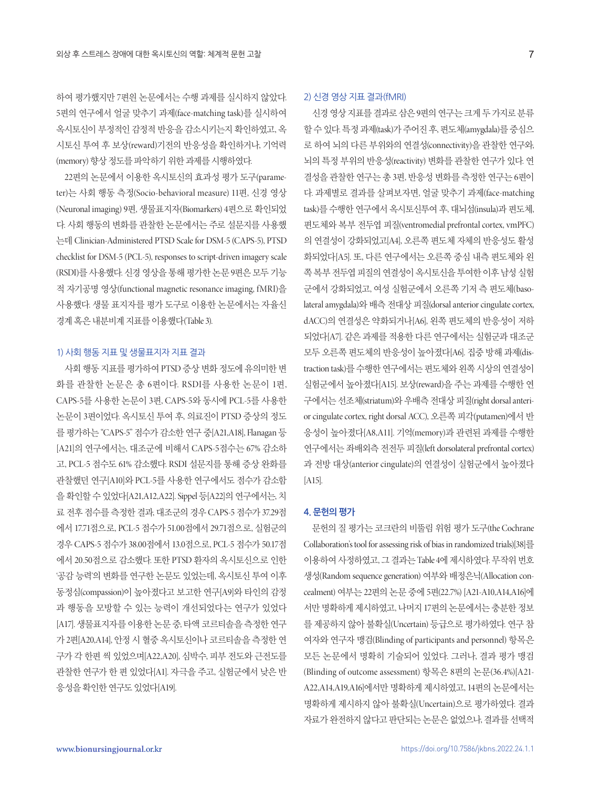하여 평가했지만 7편읜 논문에서는 수행 과제를 실시하지 않았다. 5편의 연구에서 얼굴 맞추기 과제(face-matching task)를 실시하여 옥시토신이 부정적인 감정적 반응을 감소시키는지 확인하였고, 옥 시토신 투여 후 보상(reward)기전의 반응성을 확인하거나, 기억력 (memory) 향상 정도를 파악하기 위한 과제를 시행하였다.

22편의 논문에서 이용한 옥시토신의 효과성 평가 도구(parameter)는 사회 행동 측정(Socio-behavioral measure) 11편, 신경 영상 (Neuronal imaging) 9편, 생물표지자(Biomarkers) 4편으로 확인되었 다. 사회 행동의 변화를 관찰한 논문에서는 주로 설문지를 사용했 는데 Clinician-Administered PTSD Scale for DSM-5 (CAPS-5), PTSD checklist for DSM-5 (PCL-5), responses to script-driven imagery scale (RSDI)를 사용했다. 신경 영상을 통해 평가한 논문 9편은 모두 기능 적 자기공명 영상(functional magnetic resonance imaging, fMRI)을 사용했다. 생물 표지자를 평가 도구로 이용한 논문에서는 자율신 경계혹은내분비계지표를이용했다(Table 3).

#### 1) 사회 행동 지표 및 생물표지자 지표 결과

사회 행동 지표를 평가하여 PTSD 증상 변화 정도에 유의미한 변 화를 관찰한 논문은 총 6편이다. RSDI를 사용한 논문이 1편, CAPS-5를 사용한 논문이 3편, CAPS-5와 동시에 PCL-5를 사용한 논문이 3편이었다. 옥시토신 투여 후, 의료진이 PTSD 증상의 정도 를 평가하는 "CAPS-5" 점수가 감소한 연구 중[A21,A18], Flanagan 등 [A21]의 연구에서는, 대조군에 비해서 CAPS-5점수는 67% 감소하 고, PCL-5 점수도 61% 감소했다. RSDI 설문지를 통해 증상 완화를 관찰했던 연구[A10]와 PCL-5를 사용한 연구에서도 점수가 감소함 을 확인할 수 있었다[A21,A12,A22]. Sippel 등[A22]의 연구에서는, 치 료 전후 점수를 측정한 결과, 대조군의 경우 CAPS-5 점수가 37.29점 에서 17.71점으로, PCL-5 점수가 51.00점에서 29.71점으로, 실험군의 경우 CAPS-5 점수가 38.00점에서 13.0점으로, PCL-5 점수가 50.17점 에서 20.50점으로 감소했다. 또한 PTSD 환자의 옥시토신으로 인한 '공감 능력'의 변화를 연구한 논문도 있었는데, 옥시토신 투여 이후 동정심(compassion)이 높아졌다고 보고한 연구[A9]와 타인의 감정 과 행동을 모방할 수 있는 능력이 개선되었다는 연구가 있었다 [A17]. 생물표지자를 이용한 논문 중, 타액 코르티솔을 측정한 연구 가 2편[A20,A14], 안정 시 혈중 옥시토신이나 코르티솔을 측정한 연 구가 각 한편 씩 있었으며[A22,A20], 심박수, 피부 전도와 근전도를 관찰한 연구가 한 편 있었다[A1]. 자극을 주고, 실험군에서 낮은 반 응성을 확인한 연구도 있었다[A19].

#### 2) 신경 영상 지표 결과(fMRI)

신경영상지표를결과로삼은 9편의연구는크게두가지로분류 할수 있다. 특정 과제(task)가 주어진 후, 편도체(amygdala)를 중심으 로 하여 뇌의 다른 부위와의 연결성(connectivity)을 관찰한 연구와, 뇌의 특정 부위의 반응성(reactivity) 변화를 관찰한 연구가 있다. 연 결성을 관찰한 연구는 총 3편, 반응성 변화를 측정한 연구는 6편이 다. 과제별로 결과를 살펴보자면, 얼굴 맞추기 과제(face-matching task)를 수행한 연구에서 옥시토신투여 후, 대뇌섬(insula)과 편도체, 편도체와 복부 전두엽 피질(ventromedial prefrontal cortex, vmPFC) 의 연결성이 강화되었고[A4], 오른쪽 편도체 자체의 반응성도 활성 화되었다[A5]. 또, 다른 연구에서는 오른쪽 중심 내측 편도체와 왼 쪽복부전두엽피질의연결성이옥시토신을투여한이후남성실험 군에서 강화되었고, 여성 실험군에서 오른쪽 기저 측 편도체(basolateral amygdala)와 배측 전대상 피질(dorsal anterior cingulate cortex, dACC)의 연결성은 약화되거나[A6], 왼쪽 편도체의 반응성이 저하 되었다[A7]. 같은 과제를 적용한 다른 연구에서는 실험군과 대조군 모두 오른쪽 편도체의 반응성이 높아졌다[A6]. 집중 방해 과제(distraction task)를 수행한 연구에서는 편도체와 왼쪽 시상의 연결성이 실험군에서 높아졌다[A15]. 보상(reward)을 주는 과제를 수행한 연 구에서는 선조체(striatum)와 우배측 전대상 피질(right dorsal anterior cingulate cortex, right dorsal ACC), 오른쪽 피각(putamen)에서 반 응성이 높아졌다[A8,A11]. 기억(memory)과 관련된 과제를 수행한 연구에서는 좌배외측 전전두 피질(left dorsolateral prefrontal cortex) 과 전방 대상(anterior cingulate)의 연결성이 실험군에서 높아졌다 [A15].

#### **4. 문헌의 평가**

문헌의 질 평가는 코크란의 비뚤림 위험 평가 도구(the Cochrane Collaboration's tool for assessing risk of bias in randomized trials)[38]를 이용하여 사정하였고, 그 결과는 Table 4에 제시하였다. 무작위 번호 생성(Random sequence generation) 여부와 배정은닉(Allocation concealment) 여부는 22편의 논문 중에 5편(22.7%) [A21-A10,A14,A16]에 서만 명확하게 제시하였고, 나머지 17편의 논문에서는 충분한 정보 를 제공하지 않아 불확실(Uncertain) 등급으로 평가하였다. 연구 참 여자와 연구자 맹검(Blinding of participants and personnel) 항목은 모든 논문에서 명확히 기술되어 있었다. 그러나, 결과 평가 맹검 (Blinding of outcome assessment) 항목은 8편의 논문(36.4%)[A21- A22,A14,A19,A16]에서만 명확하게 제시하였고, 14편의 논문에서는 명확하게 제시하지 않아 불확실(Uncertain)으로 평가하였다. 결과 자료가 완전하지 않다고 판단되는 논문은 없었으나, 결과를 선택적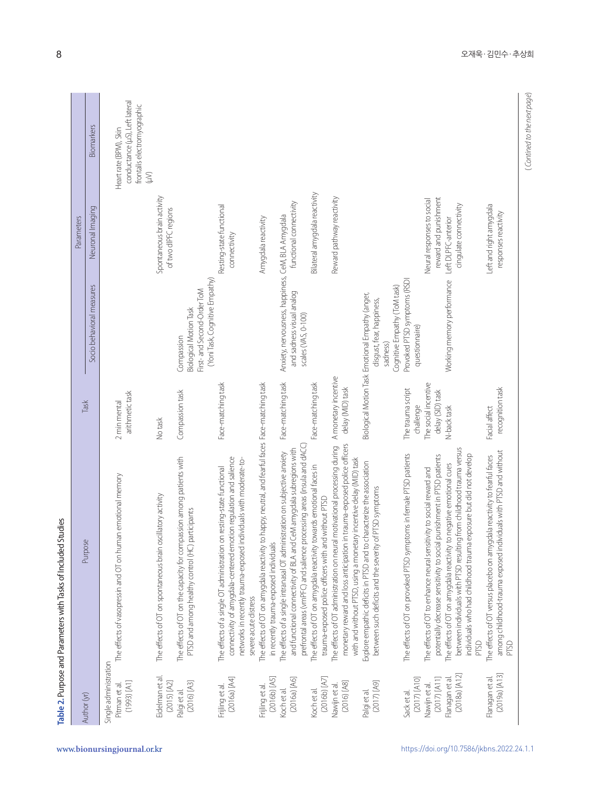| Author (yr)                                                | Purpose                                                                                                                                                                                                                                  | Task                                     |                                                                                                                           | Parameters                                          |                                                                                                             |
|------------------------------------------------------------|------------------------------------------------------------------------------------------------------------------------------------------------------------------------------------------------------------------------------------------|------------------------------------------|---------------------------------------------------------------------------------------------------------------------------|-----------------------------------------------------|-------------------------------------------------------------------------------------------------------------|
|                                                            |                                                                                                                                                                                                                                          |                                          | Socio behavioral measures                                                                                                 | Neuronal Imaging                                    | Biomarkers                                                                                                  |
| Single administration<br>$[1993]$ $[$ A1]<br>Pitman et al. | The effects of vasopressin and OT on human emotional memory                                                                                                                                                                              | arithmetic task<br>2 min mental          |                                                                                                                           |                                                     | conductance (µS), Left lateral<br>frontalis electromyographic<br>Heart rate (BPM), Skin<br>$\sum_{i=1}^{n}$ |
| Eidelman et al.<br>$(2015)$ $[A2]$                         | The effects of OT on spontaneous brain oscillatory activity                                                                                                                                                                              | No task                                  |                                                                                                                           | Spontaneous brain activity<br>of two dIPFC regions  |                                                                                                             |
| $(2016)$ [A3]<br>Palgi et al.                              | The effects of OT on the capacity for compassion among patients with<br>PTSD and among healthy control (HC) participants                                                                                                                 | Compassion task                          | (Yoni Task, Cognitive Empathy)<br>First- and Second-Order ToM<br><b>Biological Motion Task</b><br>Compassion              |                                                     |                                                                                                             |
| (2016a) [A4]<br>Frijling et al.                            | connectivity of amygdala-centered emotion regulation and salience<br>networks in recently trauma-exposed individuals with moderate-to-<br>The effects of a single OT administration on resting-state functional<br>severe acute distress | Face-matching task                       |                                                                                                                           | Resting-state functional<br>connectivity            |                                                                                                             |
| $(2016b)$ [A5]<br>Frijling et al.                          | The effects of OT on amygdala reactivity to happy, neutral, and fearful faces Face-matching task<br>in recently trauma-exposed individuals                                                                                               |                                          |                                                                                                                           | Amygdala reactivity                                 |                                                                                                             |
| (2016a) [A6]<br>Koch et al.                                | prefrontal areas (vmPFC) and salience processing areas (insula and dACC;<br>and functional connectivity of BLA and CeM amygdala subregions with<br>The effects of a single intranasal OT administration on subjective anxiety            | Face-matching task                       | Anxiety, nervousness, happiness, CeM, BLA Amygdala<br>and sadness visual analog<br>scales (VAS, 0-100)                    | functional connectivity                             |                                                                                                             |
| $(2016b)$ $[AJ]$<br>Koch et al.                            | The effects of OT on amygdala reactivity towards emotional faces in<br>trauma-exposed police officers with and without PTSD                                                                                                              | Face-matching task                       |                                                                                                                           | Bilateral amygdala reactivity                       |                                                                                                             |
| $(2016)$ [A8]<br>Nawijn et al                              | monetary reward and loss anticipation in trauma-exposed police officers<br>The effects of OT administration on neural motivational processing during<br>with and without PTSD, using a monetary incentive delay (MID) task               | A monetary incentive<br>delay (MID) task |                                                                                                                           | Reward pathway reactivity                           |                                                                                                             |
| $[64]$ (7102)<br>Palgi et al.                              | Explore empathic deficits in PTSD and to characterize the association<br>between such deficits and the severity of PTSD symptoms                                                                                                         |                                          | Cognitive Empathy (ToM task)<br>Biological Motion Task Emotional Empathy (anger,<br>disgust, fear, happiness,<br>sadness) |                                                     |                                                                                                             |
| $(2017)$ [A10]<br>Sack et al.                              | The effects of OT on provoked PTSD symptoms in female PTSD patients                                                                                                                                                                      | The trauma script<br>challenge           | Provoked PTSD symptoms (RSDI<br>questionnaire)                                                                            |                                                     |                                                                                                             |
| $(2017)$ [A11]<br>Nawijn et al.                            | potentially decrease sensitivity to social punishment in PTSD patients<br>The effects of OT to enhance neural sensitivity to social reward and                                                                                           | The social incentive<br>delay (SID) task |                                                                                                                           | reward and punishment<br>Neural responses to social |                                                                                                             |
| $(2018a)$ $[412]$<br>Flanagan et al.                       | between individuals with PTSD resulting from childhood trauma versus<br>individuals who had childhood trauma exposure but did not develop<br>The effects of OT on amygdala reactivity to negative emotional cues<br>PTSD                 | N-back task                              | Working memory performance                                                                                                | cingulate connectivity<br>Left DLPFC-anterior       |                                                                                                             |
| $(2019a)$ $[413]$<br>Flanagan et al.                       | among childhood-trauma exposed individuals with PTSD and without<br>The effects of OT versus placebo on amygdala reactivity to fearful faces<br>PTSD                                                                                     | recognition task<br>Facial affect        |                                                                                                                           | Left and right amygdala<br>responses reactivity     |                                                                                                             |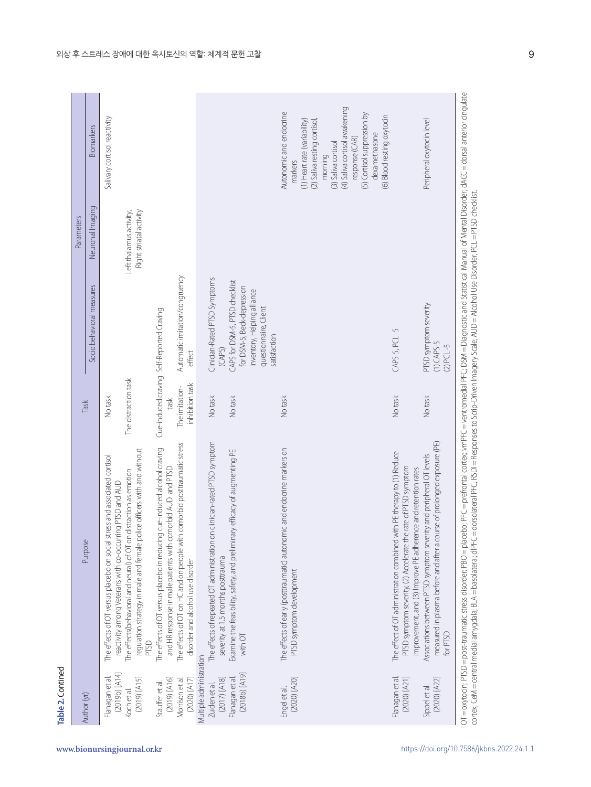|   | Ξ |
|---|---|
|   |   |
|   |   |
|   |   |
| t |   |
|   |   |
|   |   |
|   |   |

| Author (yr)                                          | Purpose                                                                                                                                                                                                                     | Task                   | Socio behavioral measures                                                                                                            | Neuronal Imaging                                   | Biomarkers                                                                                                             |
|------------------------------------------------------|-----------------------------------------------------------------------------------------------------------------------------------------------------------------------------------------------------------------------------|------------------------|--------------------------------------------------------------------------------------------------------------------------------------|----------------------------------------------------|------------------------------------------------------------------------------------------------------------------------|
| (2019b) [A14]<br>Flanagan et al.                     | The effects of OT versus placebo on social stress and associated cortisol<br>reactivity among Veterans with co-occurring PTSD and AUD                                                                                       | No task                |                                                                                                                                      |                                                    | Salivary cortisol reactivity                                                                                           |
| $(2019)$ [A15]<br>Koch et al.                        | regulation strategy in male and female police officers with and without<br>The effects (behavioral and neural) of OT on distraction as emotion<br>PTSD                                                                      | The distraction task   |                                                                                                                                      | Right striatal activity<br>Left thalamus activity, |                                                                                                                        |
| $(2019)$ [A16]<br>Morrison et al.<br>Stauffer et al. | The effects of OT on HC and on people with comorbid posttraumatic stress<br>The effects of OT versus placebo in reducing cue-induced alcohol craving<br>and HR response in male patients with comorbid AUD and PTSD         | The imitation-<br>task | Automatic imitation/congruency<br>Cue-induced craving Self-Reported Craving                                                          |                                                    |                                                                                                                        |
| Multiple administration<br>$(2020)$ [A17]            | disorder and alcohol use disorder                                                                                                                                                                                           | inhibition task        | effect                                                                                                                               |                                                    |                                                                                                                        |
| $(2017)$ [A18]<br>Zuiden et al.                      | The effects of repeated OT administration on clinician-rated PTSD symptom<br>severity at 1.5 months posttrauma                                                                                                              | No task                | Clinician-Rated PTSD Symptoms<br>(CAPS)                                                                                              |                                                    |                                                                                                                        |
| $(2018b)$ $(A19)$<br>Flanagan et al.                 | Examine the feasibility, safety, and preliminary efficacy of augmenting PE<br>with OT                                                                                                                                       | No task                | CAPS for DSM-5, PTSD checklist<br>for DSM-5, Beck-depression<br>inventory, Helping alliance<br>questionnaire, Client<br>satisfaction |                                                    |                                                                                                                        |
| (2020) [A20]<br>Engel et al.                         | The effects of early (posttraumatic) autonomic and endocrine markers on<br>PTSD symptom development                                                                                                                         | No task                |                                                                                                                                      |                                                    | Autonomic and endocrine<br>(1) Heart rate (variability)<br>(2) Saliva resting cortisol,<br>morning<br>markers          |
|                                                      |                                                                                                                                                                                                                             |                        |                                                                                                                                      |                                                    | (4) Saliva cortisol awakening<br>(5) Cortisol suppression by<br>dexamethasone<br>response (CAR)<br>(3) Saliva cortisol |
| Flanagan et al.<br>$(2020)$ [A21]                    | The effect of OT administration combined with PE therapy to (1) Reduce<br>PTSD symptom severity, (2) Accelerate the rate of PTSD symptom                                                                                    | No task                | CAPS-5, PCL-5                                                                                                                        |                                                    | (6) Blood resting oxytocin                                                                                             |
| (2020) [A22]<br>Sippel et al.                        | measured in plasma before and after a course of prolonged exposure (PE)<br>Associations between PTSD symptom severity and peripheral OT levels<br>improvement, and (3) Improve PE adherence and retention rates<br>for PTSD | No task                | PTSD symptom severity<br>$(1)$ CAPS-5<br>$(2)$ PCL -5                                                                                |                                                    | Peripheral oxytocin level                                                                                              |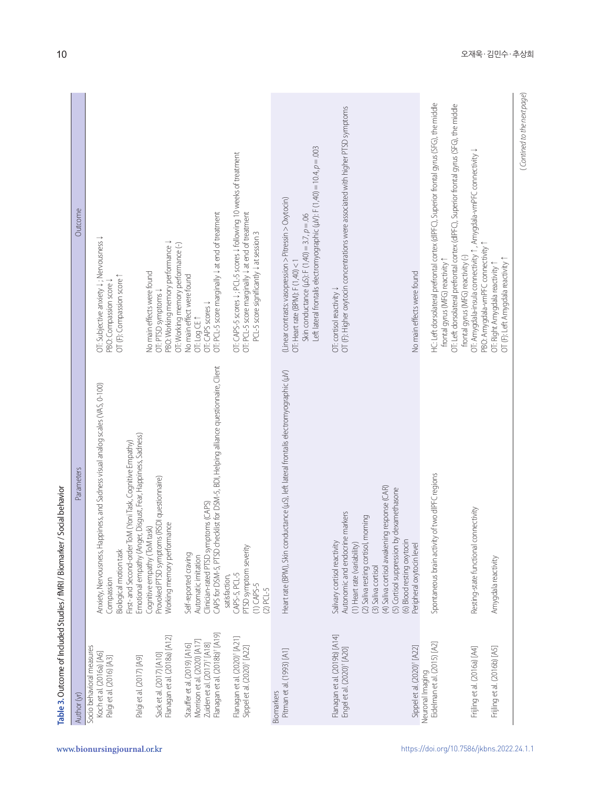| Socio behavioral measures<br>Kochet al. (2016a) [A6]<br>Palgi et al. (2016) [A3]                                                                                                       | Parameters                                                                                                                                                                                                                                                                                                                          | Outcome                                                                                                                                                                                                                                    |
|----------------------------------------------------------------------------------------------------------------------------------------------------------------------------------------|-------------------------------------------------------------------------------------------------------------------------------------------------------------------------------------------------------------------------------------------------------------------------------------------------------------------------------------|--------------------------------------------------------------------------------------------------------------------------------------------------------------------------------------------------------------------------------------------|
| Sack et al. (2017) [A10]<br>Palgi et al. (2017) [A9]                                                                                                                                   | Anxiety, Nervousness, Happiness, and Sadness visual analog scales (VAS, 0-100)<br>Emotional empathy (Anger, Disgust, Fear, Happiness, Sadness)<br>First- and Second-order ToM (Yoni Task, Cognitive Empathy)<br>Provoked PTSD symptoms (RSDI questionnaire)<br>Cognitive empathy (ToM task)<br>Biological motion task<br>Compassion | OT: Subjective anxiety ↓; Nervousness ↓<br>No main effects were found<br>OT (F): Compassion score 1<br>PBO: Compassion score J<br>OT: PTSD symptoms J                                                                                      |
| Flanagan et al. (2018b) <sup>†</sup> [A19]<br>Flanagan et al. (2018a) [A12]<br>Morrison et al. (2020) [A17]<br>Zuiden et al. (2017) <sup>†</sup> [A18]<br>Stauffer et al. (2019) [A16] | CAPS for DSM-5, PTSD checklist for DSM-5, BDI, Helping alliance questionnaire, Client<br>Clinician-rated PTSD symptoms (CAPS)<br>Working memory performance<br>Self-reported craving<br>Automatic imitation                                                                                                                         | OT: PCL-5 score marginally $\downarrow$ at end of treatment<br>PBO: Working memory performance J<br>OT: Working memory performance (-)<br>No main effect were found<br>OT: CAPS scores J<br>OT: Log CE 1                                   |
| Flanagan et al. (2020) <sup>†</sup> [A21]<br>Sippel et al. (2020) <sup>†</sup> [A22]                                                                                                   | PTSD symptom severity<br>CAPS-5, PCL-5<br>satisfaction,<br>$(1)$ CAPS-5<br>$(2)$ PCL-5                                                                                                                                                                                                                                              | OT: CAPS-5 scores J: PCL-5 scores J following 10 weeks of treatment<br>OT: PCL-5 score marginally $\downarrow$ at end of treatment<br>PCL-5 score significantly $\downarrow$ at session 3                                                  |
| Pitman et al. (1993) [A1]<br>Biomarkers                                                                                                                                                | Heart rate (BPM), Skin conductance (µS), left lateral frontalis electromyographic (µV)                                                                                                                                                                                                                                              | Left lateral frontalis electromyographic (µV): F (1,40) = 10.4, p = .003<br>(Linear contrasts: vasopression > Pitressin > Oxytocin)<br>Skin conductance (µS): F (1,40) = 3.7, $p = .06$<br>OT: Heart rate (BPM): $F(1,40) < 1$             |
| Flanagan et al. (2019b) [A14]<br>Engel et al. (2020) <sup>†</sup> [A20]                                                                                                                | (4) Saliva cortisol awakening response (CAR)<br>markers<br>(2) Saliva resting cortisol, morning<br>Autonomic and endocrine<br>Salivary cortisol reactivity<br>(1) Heart rate (variability)<br>(3) Saliva cortisol                                                                                                                   | OT (F): Higher oxytocin concentrations were associated with higher PTSD symptoms<br>OT: cortisol reactivity ↓                                                                                                                              |
| Sippel et al. (2020) <sup>†</sup> [A22]                                                                                                                                                | dexamethasone<br>(5) Cortisol suppression by<br>(6) Blood resting oxytocin<br>Peripheral oxytocin level                                                                                                                                                                                                                             | No main effects were found                                                                                                                                                                                                                 |
| Eidelman et al. (2015) [A2]<br>Neuronal Imaging                                                                                                                                        | of two dIPFC regions<br>Spontaneous brain activity                                                                                                                                                                                                                                                                                  | HC: Left dorsolateral prefrontal cortex (dIPFC), Superior frontal gyrus (SFG), the middle<br>frontal gyrus (MFG) reactivity 1                                                                                                              |
| Frijling et al. (2016a) [A4]                                                                                                                                                           | Resting-state functional connectivity                                                                                                                                                                                                                                                                                               | OT: Left dorsolateral prefrontal cortex (dIPFC), Superior frontal gyrus (SFG), the middle<br>OT: Amygdala-insula connectivity 1, Amygdala-vmPFC connectivity J<br>PBO: Amygdala-vmPFC connectivity 1<br>frontal gyrus (MFG) reactivity (-) |
| Frijling et al. (2016b) [A5]                                                                                                                                                           | Amygdala reactivity                                                                                                                                                                                                                                                                                                                 | OT (F): Left Amygdala reactivity 1<br>OT: Right Amygdala reactivity 1                                                                                                                                                                      |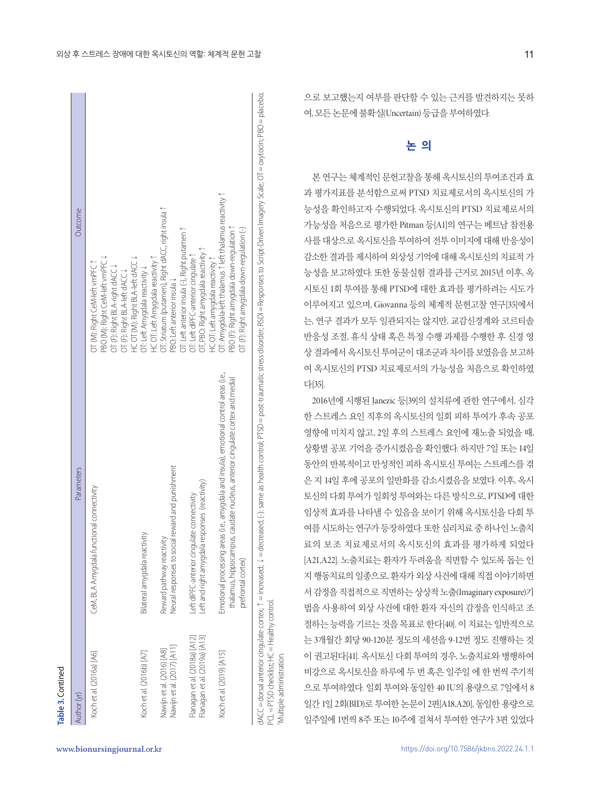| Author (yr)                                                    | Parameters                                                                                                                                                                                                                | <b><i><u>Outcome</u></i></b>                                                                                                                                                            |
|----------------------------------------------------------------|---------------------------------------------------------------------------------------------------------------------------------------------------------------------------------------------------------------------------|-----------------------------------------------------------------------------------------------------------------------------------------------------------------------------------------|
| Koch et al. (2016a) [A6]                                       | CeM, BLA Amygdala functional connectivity                                                                                                                                                                                 | PBO (M): Right CeM-left vmPFC \<br>OT (M): Right CeM-left vmPFC ↑<br>OT (F): Right BLA-right dACC ↓<br>OT (F): Right BLA-left dACC ↓                                                    |
| Koch et al. (2016b) [A7]                                       | Bilateral amygdala reactivity                                                                                                                                                                                             | HC OT (M): Right BLA-left dACC J<br>OT: Left Amygdala reactivity ↓                                                                                                                      |
| Nawijn et al. (2017) [A11]<br>Nawijn et al. (2016) [A8]        | reward and punishment<br>Reward pathway reactivity<br>Neural responses to social                                                                                                                                          | OT: Striatum (putamen), Right dACC, right insula 1<br>HC OT: Left Amygdala reactivity 1<br>PBO: Left anterior insula ↓                                                                  |
| Flanagan et al. (2018a) [A12]<br>Flanagan et al. (2019a) [A13] | Left and right amygdala responses (reactivity)<br>Left dIPFC-anterior cingulate connectivity                                                                                                                              | OT: Left anterior insula (-), Right putamen 1<br>DT, PBO: Right amygdala reactivity 1<br>OT: Left dIPFC-anterior cingulate ↑                                                            |
| Koch et al. (2019) [A15]                                       | Emotional processing areas (i.e., amygdala and insula), emotional control areas (i.e.,<br>thalamus, hippocampus, caudate nucleus, anterior cingulate cortex and medial<br>prefrontal cortex)                              | OT: Amygdala-left thalamus 1 left thalamus reactivity 1<br>PBO (F): Right amygdala down-regulation 1<br>OT (F): Right amygdala down-regulation (-)<br>HC OT: Left amygdala reactivity 1 |
|                                                                | dACC = dorsal anterior cingulate cortex; ↑ = increased; → = decreased; (-); same as health control; PTSD = post-traumatic stress disorder; RSDI = Responses to Script-Driven Imagery Scale; OT = oxytocin; PBO = placebo; |                                                                                                                                                                                         |

PCL = PTSD checklist; HC = Healthy control.

PCL = PTSD checklist; HC = Healthy control.<br>†Multiple administration.

†Multiple administration.

으로 보고했는지 여부를 판단할 수 있는 근거를 발견하지는 못하 여, 모든논문에불확실(Uncertain) 등급을부여하였다.

# **논 의**

본 연구는 체계적인 문헌고찰을 통해 옥시토신의 투여조건과 효 과 평가지표를 분석함으로써 PTSD 치료제로서의 옥시토신의 가 능성을 확인하고자 수행되었다. 옥시토신의 PTSD 치료제로서의 가능성을 처음으로 평가한 Pitman 등[A1]의 연구는 베트남 참전용 사를 대상으로 옥시토신을 투여하여 전투 이미지에 대해 반응성이 감소한 결과를 제시하여 외상성 기억에 대해 옥시토신의 치료적 가 능성을 보고하였다. 또한 동물실험 결과를 근거로 2015년 이후, 옥 시토신 1회 투여를 통해 PTSD에 대한 효과를 평가하려는 시도가 이루어지고 있으며, Giovanna 등의 체계적 문헌고찰 연구[35]에서 는, 연구 결과가 모두 일관되지는 않지만, 교감신경계와 코르티솔 반응성 조절, 휴식 상태 혹은 특정 수행 과제를 수행한 후 신경 영 상 결과에서 옥시토신 투여군이 대조군과 차이를 보였음을 보고하 여 옥시토신의 PTSD 치료제로서의 가능성을 처음으로 확인하였 다[35].

2016년에 시행된 Janezic 등[39]의 설치류에 관한 연구에서, 심각 한 스트레스 요인 직후의 옥시토신의 일회 피하 투여가 후속 공포 영향에 미치지 않고, 2일 후의 스트레스 요인에 재노출 되었을 때, 상황별 공포 기억을 증가시켰음을 확인했다. 하지만 7일 또는 14일 동안의 반복적이고 만성적인 피하 옥시토신 투여는 스트레스를 겪 은 지 14일 후에 공포의 일반화를 감소시켰음을 보였다. 이후, 옥시 토신의 다회 투여가 일회성 투여와는 다른 방식으로, PTSD에 대한 임상적 효과를 나타낼 수 있음을 보이기 위해 옥시토신을 다회 투 여를 시도하는 연구가 등장하였다. 또한 심리치료 중 하나인 노출치 료의 보조 치료제로서의 옥시토신의 효과를 평가하게 되었다 [A21,A22]. 노출치료는 환자가 두려움을 직면할 수 있도록 돕는 인 지행동치료의일종으로, 환자가외상사건에대해직접이야기하면 서감정을직접적으로직면하는상상적노출(Imaginary exposure)기 법을 사용하여 외상 사건에 대한 환자 자신의 감정을 인식하고 조 절하는 능력을 기르는 것을 목표로 한다[40]. 이 치료는 일반적으로 는 3개월간 회당 90-120분 정도의 세션을 9-12번 정도 진행하는 것 이 권고된다[41]. 옥시토신 다회 투여의 경우, 노출치료와 병행하여 비강으로 옥시토신을 하루에 두 번 혹은 일주일 에 한 번씩 주기적 으로 투여하였다. 일회 투여와 동일한 40 IU의 용량으로 7일에서 8 일간 1일 2회(BID)로 투여한 논문이 2편[A18,A20], 동일한 용량으로 일주일에 1번씩 8주 또는 10주에 걸쳐서 투여한 연구가 3편 있었다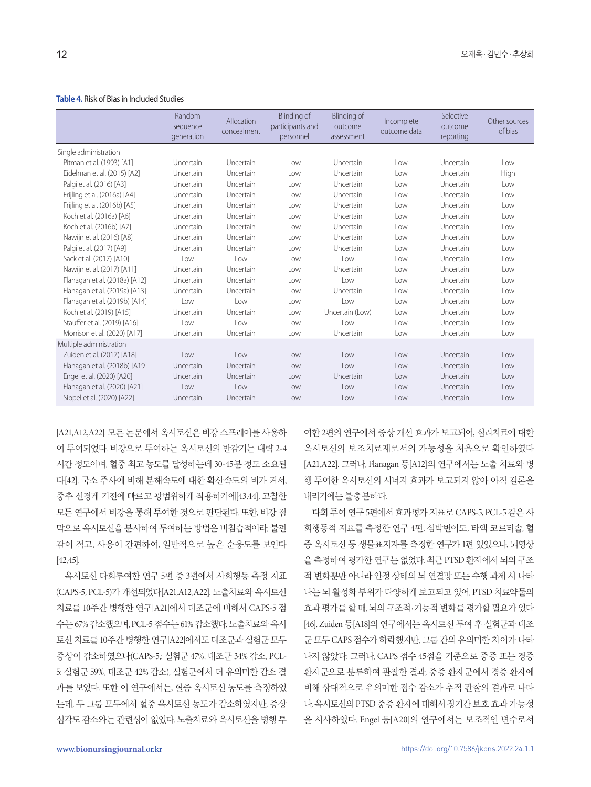#### **Table 4.** Risk of Bias in Included Studies

|                               | Random<br>sequence<br>generation | Allocation<br>concealment | Blinding of<br>participants and<br>personnel | <b>Blinding of</b><br>outcome<br>assessment | Incomplete<br>outcome data | Selective<br>outcome<br>reporting | Other sources<br>of bias |
|-------------------------------|----------------------------------|---------------------------|----------------------------------------------|---------------------------------------------|----------------------------|-----------------------------------|--------------------------|
| Single administration         |                                  |                           |                                              |                                             |                            |                                   |                          |
| Pitman et al. (1993) [A1]     | Uncertain                        | Uncertain                 | l ow                                         | Uncertain                                   | Low                        | Uncertain                         | l ow                     |
| Eidelman et al. (2015) [A2]   | Uncertain                        | Uncertain                 | Low                                          | Uncertain                                   | Low                        | Uncertain                         | High                     |
| Palgi et al. (2016) [A3]      | Uncertain                        | Uncertain                 | Low                                          | Uncertain                                   | Low                        | Uncertain                         | Low                      |
| Frijling et al. (2016a) [A4]  | Uncertain                        | Uncertain                 | Low                                          | Uncertain                                   | Low                        | Uncertain                         | Low                      |
| Frijling et al. (2016b) [A5]  | Uncertain                        | Uncertain                 | Low                                          | Uncertain                                   | Low                        | Uncertain                         | Low                      |
| Koch et al. (2016a) [A6]      | Uncertain                        | Uncertain                 | Low                                          | Uncertain                                   | Low                        | Uncertain                         | l ow                     |
| Koch et al. (2016b) [A7]      | Uncertain                        | Uncertain                 | Low                                          | Uncertain                                   | Low                        | Uncertain                         | Low                      |
| Nawijn et al. (2016) [A8]     | Uncertain                        | Uncertain                 | Low                                          | Uncertain                                   | Low                        | Uncertain                         | l ow                     |
| Palgi et al. (2017) [A9]      | Uncertain                        | Uncertain                 | Low                                          | Uncertain                                   | Low                        | Uncertain                         | Low                      |
| Sack et al. (2017) [A10]      | Low                              | l ow                      | Low                                          | Low                                         | Low                        | Uncertain                         | l ow                     |
| Nawijn et al. (2017) [A11]    | Uncertain                        | Uncertain                 | l ow                                         | Uncertain                                   | l ow                       | Uncertain                         | l ow                     |
| Flanagan et al. (2018a) [A12] | Uncertain                        | Uncertain                 | Low                                          | l ow                                        | Low                        | Uncertain                         | l ow                     |
| Flanagan et al. (2019a) [A13] | Uncertain                        | Uncertain                 | Low                                          | Uncertain                                   | Low                        | Uncertain                         | Low                      |
| Flanagan et al. (2019b) [A14] | Low                              | Low                       | Low                                          | Low                                         | $1$ OW                     | Uncertain                         | l ow                     |
| Koch et al. (2019) [A15]      | Uncertain                        | Uncertain                 | Low                                          | Uncertain (Low)                             | Low                        | Uncertain                         | Low                      |
| Stauffer et al. (2019) [A16]  | Low                              | Low                       | Low                                          | Low                                         | Low                        | Uncertain                         | Low                      |
| Morrison et al. (2020) [A17]  | Uncertain                        | Uncertain                 | Low                                          | Uncertain                                   | Low                        | Uncertain                         | Low                      |
| Multiple administration       |                                  |                           |                                              |                                             |                            |                                   |                          |
| Zuiden et al. (2017) [A18]    | Low                              | Low                       | Low                                          | Low                                         | Low                        | Uncertain                         | Low                      |
| Flanagan et al. (2018b) [A19] | Uncertain                        | Uncertain                 | low                                          | low                                         | $\log$                     | Uncertain                         | l ow                     |
| Engel et al. (2020) [A20]     | Uncertain                        | Uncertain                 | Low                                          | Uncertain                                   | Low                        | Uncertain                         | l ow                     |
| Flanagan et al. (2020) [A21]  | Low                              | Low                       | Low                                          | low                                         | Low                        | Uncertain                         | l ow                     |
| Sippel et al. (2020) [A22]    | Uncertain                        | Uncertain                 | Low                                          | Low                                         | Low                        | Uncertain                         | Low                      |

[A21,A12,A22]. 모든 논문에서 옥시토신은 비강 스프레이를 사용하 여 투여되었다. 비강으로 투여하는 옥시토신의 반감기는 대략 2-4 시간 정도이며, 혈중 최고 농도를 달성하는데 30-45분 정도 소요된 다[42]. 국소 주사에 비해 분해속도에 대한 확산속도의 비가 커서, 중추 신경계 기전에 빠르고 광범위하게 작용하기에[43,44], 고찰한 모든 연구에서 비강을 통해 투여한 것으로 판단된다. 또한, 비강 점 막으로 옥시토신을 분사하여 투여하는 방법은 비침습적이라, 불편 감이 적고, 사용이 간편하여, 일반적으로 높은 순응도를 보인다 [42,45].

옥시토신 다회투여한 연구 5편 중 3편에서 사회행동 측정 지표 (CAPS-5, PCL-5)가 개선되었다[A21,A12,A22]. 노출치료와 옥시토신 치료를 10주간 병행한 연구[A21]에서 대조군에 비해서 CAPS-5 점 수는 67% 감소했으며, PCL-5 점수는 61% 감소했다. 노출치료와옥시 토신 치료를 10주간 병행한 연구[A22]에서도 대조군과 실험군 모두 증상이 감소하였으나(CAPS-5,: 실험군 47%, 대조군 34% 감소, PCL-5: 실험군 59%, 대조군 42% 감소), 실험군에서 더 유의미한 감소 결 과를 보였다. 또한 이 연구에서는, 혈중 옥시토신 농도를 측정하였 는데, 두 그룹 모두에서 혈중 옥시토신 농도가 감소하였지만, 증상 심각도 감소와는 관련성이 없었다. 노출치료와 옥시토신을 병행 투

여한 2편의 연구에서 증상 개선 효과가 보고되어, 심리치료에 대한 옥시토신의 보조치료제로서의 가능성을 처음으로 확인하였다 [A21,A22]. 그러나, Flanagan 등[A12]의 연구에서는 노출 치료와 병 행 투여한 옥시토신의 시너지 효과가 보고되지 않아 아직 결론을 내리기에는불충분하다.

다회 투여 연구 5편에서 효과평가 지표로 CAPS-5, PCL-5 같은 사 회행동적 지표를 측정한 연구 4편, 심박변이도, 타액 코르티솔, 혈 중 옥시토신 등 생물표지자를 측정한 연구가 1편 있었으나, 뇌영상 을 측정하여 평가한 연구는 없었다. 최근 PTSD 환자에서 뇌의 구조 적 변화뿐만 아니라 안정 상태의 뇌 연결망 또는 수행 과제 시 나타 나는 뇌 활성화 부위가 다양하게 보고되고 있어, PTSD 치료약물의 효과 평가를 할 때, 뇌의 구조적·기능적 변화를 평가할 필요가 있다 [46]. Zuiden 등[A18]의 연구에서는 옥시토신 투여 후 실험군과 대조 군 모두 CAPS 점수가 하락했지만, 그룹 간의 유의미한 차이가 나타 나지 않았다. 그러나, CAPS 점수 45점을 기준으로 중증 또는 경증 환자군으로 분류하여 관찰한 결과, 중증 환자군에서 경증 환자에 비해 상대적으로 유의미한 점수 감소가 추적 관찰의 결과로 나타 나, 옥시토신의 PTSD 중증환자에대해서장기간보호효과가능성 을 시사하였다. Engel 등[A20]의 연구에서는 보조적인 변수로서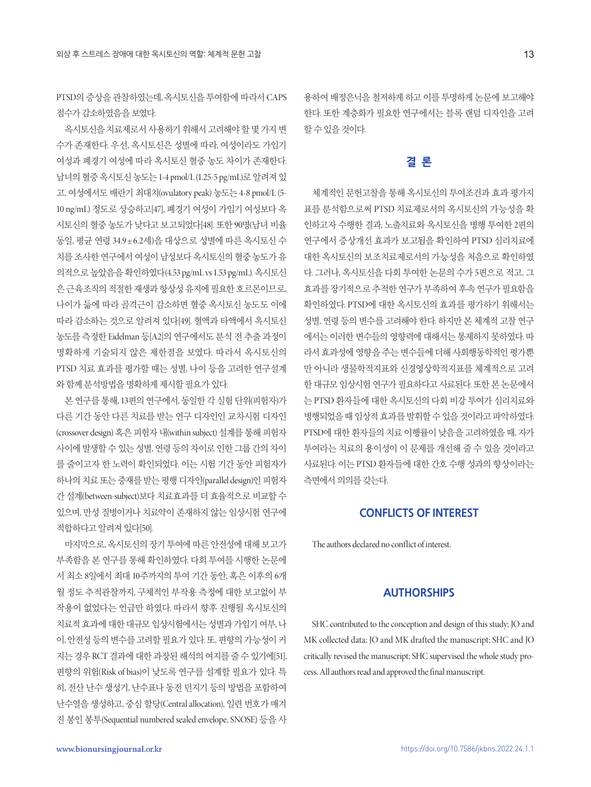PTSD의 증상을 관찰하였는데, 옥시토신을 투여함에 따라서 CAPS 점수가감소하였음을보였다.

옥시토신을 치료제로서 사용하기 위해서 고려해야 할 몇 가지 변 수가 존재한다. 우선, 옥시토신은 성별에 따라, 여성이라도 가임기 여성과 폐경기 여성에 따라 옥시토신 혈중 농도 차이가 존재한다. 남녀의혈중옥시토신농도는 1-4 pmol/L (1.25-5 pg/mL)로알려져있 고, 여성에서도 배란기 최대치(ovulatory peak) 농도는 4-8 pmol/L (5- 10 ng/mL) 정도로 상승하고[47], 폐경기 여성이 가임기 여성보다 옥 시토신의 혈중 농도가 낮다고 보고되었다[48]. 또한 90명(남녀 비율 동일, 평균 연령 34.9± 6.2세)을 대상으로 성별에 따른 옥시토신 수 치를 조사한 연구에서 여성이 남성보다 옥시토신의 혈중 농도가 유 의적으로높았음을확인하였다(4.53 pg/mL vs 1.53 pg/mL). 옥시토신 은근육조직의적절한재생과항상성유지에필요한호르몬이므로, 나이가 듦에 따라 골격근이 감소하면 혈중 옥시토신 농도도 이에 따라 감소하는 것으로 알려져 있다[49]. 혈액과 타액에서 옥시토신 농도를 측정한 Eidelman 등[A2]의 연구에서도 분석 전 추출 과정이 명확하게 기술되지 않은 제한점을 보였다. 따라서 옥시토신의 PTSD 치료 효과를 평가할 때는 성별, 나이 등을 고려한 연구설계 와함께분석방법을명확하게제시할필요가있다.

본 연구를 통해, 13편의 연구에서, 동일한 각 실험 단위(피험자)가 다른 기간 동안 다른 치료를 받는 연구 디자인인 교차시험 디자인 (crossover design) 혹은 피험자 내(within subject) 설계를 통해 피험자 사이에 발생할 수 있는 성별, 연령 등의 차이로 인한 그룹 간의 차이 를 줄이고자 한 노력이 확인되었다. 이는 시험 기간 동안 피험자가 하나의 치료 또는 중재를 받는 평행 디자인(parallel design)인 피험자 간 설계(between-subject)보다 치료효과를 더 효율적으로 비교할 수 있으며, 만성 질병이거나 치료약이 존재하지 않는 임상시험 연구에 적합하다고알려져있다[50].

마지막으로, 옥시토신의 장기 투여에 따른 안전성에 대해 보고가 부족함을 본 연구를 통해 확인하였다. 다회 투여를 시행한 논문에 서 최소 8일에서 최대 10주까지의 투여 기간 동안, 혹은 이후의 6개 월 정도 추적관찰까지, 구체적인 부작용 측정에 대한 보고없이 부 작용이 없었다는 언급만 하였다. 따라서 향후 진행될 옥시토신의 치료적효과에대한대규모임상시험에서는성별과가임기여부, 나 이, 안전성등의변수를고려할필요가있다. 또, 편향의가능성이커 지는 경우 RCT 결과에 대한 과장된 해석의 여지를 줄 수 있기에[51], 편향의 위험(Risk of bias)이 낮도록 연구를 설계할 필요가 있다. 특 히, 전산 난수 생성기, 난수표나 동전 던지기 등의 방법을 포함하여 난수열을 생성하고, 중심 할당(Central allocation), 일련 번호가 매겨 진 봉인 봉투(Sequential numbered sealed envelope, SNOSE) 등을 사

용하여 배정은닉을 철저하게 하고 이를 투명하게 논문에 보고해야 한다. 또한 계층화가 필요한 연구에서는 블록 랜덤 디자인을 고려 할수있을것이다.

## **결 론**

체계적인 문헌고찰을 통해 옥시토신의 투여조건과 효과 평가지 표를 분석함으로써 PTSD 치료제로서의 옥시토신의 가능성을 확 인하고자 수행한 결과, 노출치료와 옥시토신을 병행 투여한 2편의 연구에서 증상개선 효과가 보고됨을 확인하여 PTSD 심리치료에 대한 옥시토신의 보조치료제로서의 가능성을 처음으로 확인하였 다. 그러나, 옥시토신을 다회 투여한 논문의 수가 5편으로 적고, 그 효과를 장기적으로 추적한 연구가 부족하여 후속 연구가 필요함을 확인하였다. PTSD에 대한 옥시토신의 효과를 평가하기 위해서는 성별, 연령 등의 변수를 고려해야 한다. 하지만 본 체계적 고찰 연구 에서는 이러한 변수들의 영향력에 대해서는 통제하지 못하였다. 따 라서 효과성에 영향을 주는 변수들에 더해 사회행동학적인 평가뿐 만 아니라 생물학적지표와 신경영상학적지표를 체계적으로 고려 한 대규모 임상시험 연구가 필요하다고 사료된다. 또한 본 논문에서 는 PTSD 환자들에 대한 옥시토신의 다회 비강 투여가 심리치료와 병행되었을 때 임상적 효과를 발휘할 수 있을 것이라고 파악하였다. PTSD에 대한 환자들의 치료 이행률이 낮음을 고려하였을 때, 자가 투여라는 치료의 용이성이 이 문제를 개선해 줄 수 있을 것이라고 사료된다. 이는 PTSD 환자들에 대한 간호 수행 성과의 향상이라는 측면에서 의의를 갖는다.

## **CONFLICTS OF INTEREST**

The authors declared no conflict of interest.

## **AUTHORSHIPS**

SHC contributed to the conception and design of this study; JO and MK collected data; JO and MK drafted the manuscript; SHC and JO critically revised the manuscript; SHC supervised the whole study process. All authors read and approved the final manuscript.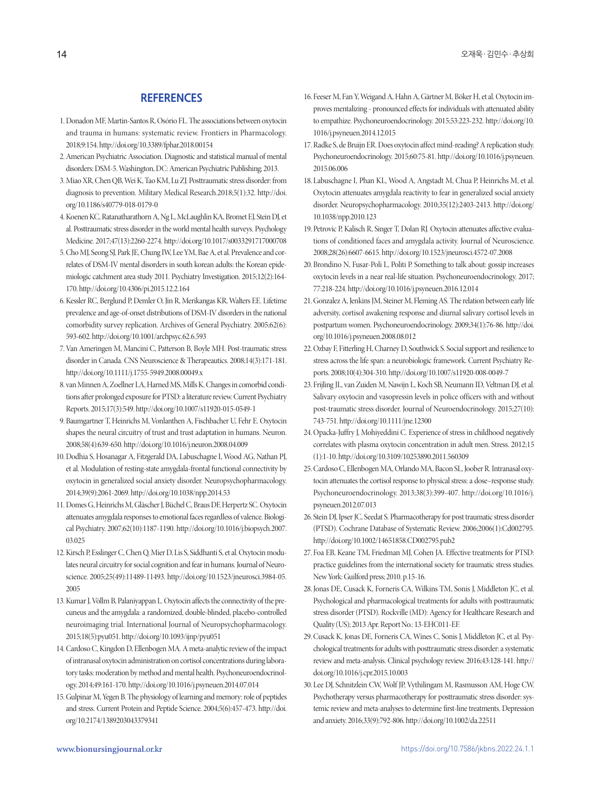## **REFERENCES**

- 1. Donadon MF, Martin-Santos R, Osório FL. The associations between oxytocin and trauma in humans: systematic review. Frontiers in Pharmacology. 2018;9:154. http://doi.org/10.3389/fphar.2018.00154
- 2. American Psychiatric Association. Diagnostic and statistical manual of mental disorders: DSM-5. Washington, DC: American Psychiatric Publishing; 2013.
- 3. Miao XR, Chen QB, Wei K, Tao KM, Lu ZJ. Posttraumatic stress disorder: from diagnosis to prevention. Military Medical Research.2018;5(1):32. http://doi. org/10.1186/s40779-018-0179-0
- 4. Koenen KC, Ratanatharathorn A, Ng L, McLaughlin KA, Bromet EJ, Stein DJ, et al. Posttraumatic stress disorder in the world mental health surveys. Psychology Medicine. 2017;47(13):2260-2274. http://doi.org/10.1017/s0033291717000708
- 5. Cho MJ, Seong SJ, Park JE, Chung IW, Lee YM, Bae A, et al. Prevalence and correlates of DSM-IV mental disorders in south korean adults: the Korean epidemiologic catchment area study 2011. Psychiatry Investigation. 2015;12(2):164- 170. http://doi.org/10.4306/pi.2015.12.2.164
- 6. Kessler RC, Berglund P, Demler O, Jin R, Merikangas KR, Walters EE. Lifetime prevalence and age-of-onset distributions of DSM-IV disorders in the national comorbidity survey replication. Archives of General Psychiatry. 2005;62(6): 593-602. http://doi.org/10.1001/archpsyc.62.6.593
- 7. Van Ameringen M, Mancini C, Patterson B, Boyle MH. Post-traumatic stress disorder in Canada. CNS Neuroscience & Therapeautics. 2008;14(3):171-181. http://doi.org/10.1111/j.1755-5949.2008.00049.x
- 8. van Minnen A, Zoellner LA, Harned MS, Mills K. Changes in comorbid conditions after prolonged exposure for PTSD: a literature review. Current Psychiatry Reports. 2015;17(3):549. http://doi.org/10.1007/s11920-015-0549-1
- 9. Baumgartner T, Heinrichs M, Vonlanthen A, Fischbacher U, Fehr E. Oxytocin shapes the neural circuitry of trust and trust adaptation in humans. Neuron. 2008;58(4):639-650. http://doi.org/10.1016/j.neuron.2008.04.009
- 10. Dodhia S, Hosanagar A, Fitzgerald DA, Labuschagne I, Wood AG, Nathan PJ, et al. Modulation of resting-state amygdala-frontal functional connectivity by oxytocin in generalized social anxiety disorder. Neuropsychopharmacology. 2014;39(9):2061-2069. http://doi.org/10.1038/npp.2014.53
- 11. Domes G, Heinrichs M, Gläscher J, Büchel C, Braus DF, Herpertz SC. Oxytocin attenuates amygdala responses to emotional faces regardless of valence. Biological Psychiatry. 2007;62(10):1187-1190. http://doi.org/10.1016/j.biopsych.2007. 03.025
- 12. Kirsch P, Esslinger C, Chen Q, Mier D, Lis S, Siddhanti S, et al. Oxytocin modulates neural circuitry for social cognition and fear in humans. Journal of Neuroscience. 2005;25(49):11489-11493. http://doi.org/10.1523/jneurosci.3984-05. 2005
- 13. Kumar J, Völlm B, Palaniyappan L. Oxytocin affects the connectivity of the precuneus and the amygdala: a randomized, double-blinded, placebo-controlled neuroimaging trial. International Journal of Neuropsychopharmacology. 2015;18(5):pyu051. http://doi.org/10.1093/ijnp/pyu051
- 14. Cardoso C, Kingdon D, Ellenbogen MA. A meta-analytic review of the impact of intranasal oxytocin administration on cortisol concentrations during laboratory tasks: moderation by method and mental health. Psychoneuroendocrinology. 2014;49:161-170. http://doi.org/10.1016/j.psyneuen.2014.07.014
- 15. Gulpinar M, Yegen B. The physiology of learning and memory: role of peptides and stress. Current Protein and Peptide Science. 2004;5(6):457-473. http://doi. org/10.2174/1389203043379341
- 16. Feeser M, Fan Y, Weigand A, Hahn A, Gärtner M, Böker H, et al. Oxytocin improves mentalizing - pronounced effects for individuals with attenuated ability to empathize. Psychoneuroendocrinology. 2015;53:223-232. http://doi.org/10. 1016/j.psyneuen.2014.12.015
- 17. Radke S, de Bruijn ER. Does oxytocin affect mind-reading? A replication study. Psychoneuroendocrinology. 2015;60:75-81. http://doi.org/10.1016/j.psyneuen. 2015.06.006
- 18. Labuschagne I, Phan KL, Wood A, Angstadt M, Chua P, Heinrichs M, et al. Oxytocin attenuates amygdala reactivity to fear in generalized social anxiety disorder. Neuropsychopharmacology. 2010;35(12):2403-2413. http://doi.org/ 10.1038/npp.2010.123
- 19. Petrovic P, Kalisch R, Singer T, Dolan RJ. Oxytocin attenuates affective evaluations of conditioned faces and amygdala activity. Journal of Neuroscience. 2008;28(26):6607-6615. http://doi.org/10.1523/jneurosci.4572-07.2008
- 20. Brondino N, Fusar-Poli L, Politi P. Something to talk about: gossip increases oxytocin levels in a near real-life situation. Psychoneuroendocrinology. 2017; 77:218-224. http://doi.org/10.1016/j.psyneuen.2016.12.014
- 21. Gonzalez A, Jenkins JM, Steiner M, Fleming AS. The relation between early life adversity, cortisol awakening response and diurnal salivary cortisol levels in postpartum women. Psychoneuroendocrinology. 2009;34(1):76-86. http://doi. org/10.1016/j.psyneuen.2008.08.012
- 22. Ozbay F, Fitterling H, Charney D, Southwick S. Social support and resilience to stress across the life span: a neurobiologic framework. Current Psychiatry Reports. 2008;10(4):304-310. http://doi.org/10.1007/s11920-008-0049-7
- 23. Frijling JL, van Zuiden M, Nawijn L, Koch SB, Neumann ID, Veltman DJ, et al. Salivary oxytocin and vasopressin levels in police officers with and without post-traumatic stress disorder. Journal of Neuroendocrinology. 2015;27(10): 743-751. http://doi.org/10.1111/jne.12300
- 24. Opacka-Juffry J, Mohiyeddini C. Experience of stress in childhood negatively correlates with plasma oxytocin concentration in adult men. Stress. 2012;15 (1):1-10. http://doi.org/10.3109/10253890.2011.560309
- 25. Cardoso C, Ellenbogen MA, Orlando MA, Bacon SL, Joober R. Intranasal oxytocin attenuates the cortisol response to physical stress: a dose–response study. Psychoneuroendocrinology. 2013;38(3):399-407. http://doi.org/10.1016/j. psyneuen.2012.07.013
- 26. Stein DJ, Ipser JC, Seedat S. Pharmacotherapy for post traumatic stress disorder (PTSD). Cochrane Database of Systematic Review. 2006;2006(1):Cd002795. http://doi.org/10.1002/14651858.CD002795.pub2
- 27. Foa EB, Keane TM, Friedman MJ, Cohen JA. Effective treatments for PTSD: practice guidelines from the international society for traumatic stress studies. New York: Guilford press; 2010. p.15-16.
- 28. Jonas DE, Cusack K, Forneris CA, Wilkins TM, Sonis J, Middleton JC, et al. Psychological and pharmacological treatments for adults with posttraumatic stress disorder (PTSD). Rockville (MD): Agency for Healthcare Research and Quality (US); 2013 Apr. Report No.: 13-EHC011-EF.
- 29. Cusack K, Jonas DE, Forneris CA, Wines C, Sonis J, Middleton JC, et al. Psychological treatments for adults with posttraumatic stress disorder: a systematic review and meta-analysis. Clinical psychology review. 2016;43:128-141. http:// doi.org/10.1016/j.cpr.2015.10.003
- 30. Lee DJ, Schnitzlein CW, Wolf JP, Vythilingam M, Rasmusson AM, Hoge CW. Psychotherapy versus pharmacotherapy for posttraumatic stress disorder: systemic review and meta-analyses to determine first-line treatments. Depression and anxiety. 2016;33(9):792-806. http://doi.org/10.1002/da.22511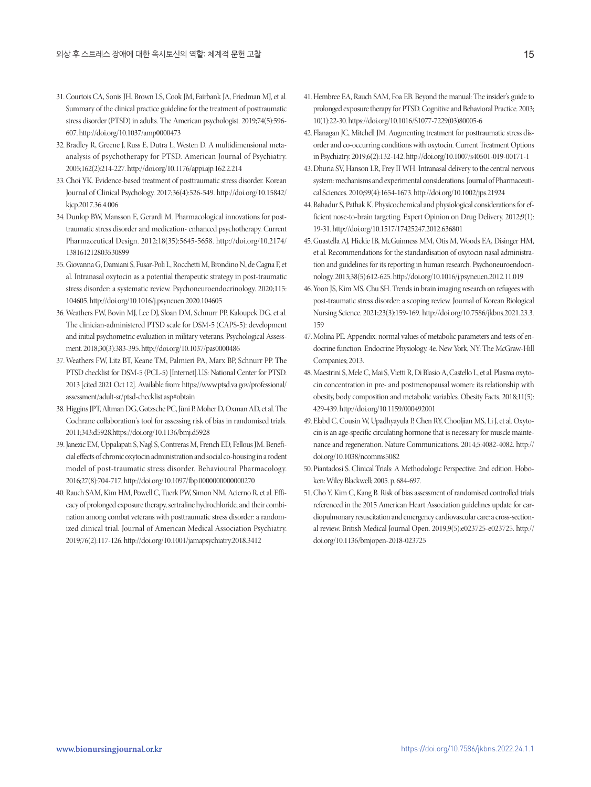- 31. Courtois CA, Sonis JH, Brown LS, Cook JM, Fairbank JA, Friedman MJ, et al. Summary of the clinical practice guideline for the treatment of posttraumatic stress disorder (PTSD) in adults. The American psychologist. 2019;74(5):596- 607. http://doi.org/10.1037/amp0000473
- 32. Bradley R, Greene J, Russ E, Dutra L, Westen D. A multidimensional metaanalysis of psychotherapy for PTSD. American Journal of Psychiatry. 2005;162(2):214-227. http://doi.org/10.1176/appi.ajp.162.2.214
- 33. Choi YK. Evidence-based treatment of posttraumatic stress disorder. Korean Journal of Clinical Psychology. 2017;36(4):526-549. http://doi.org/10.15842/ kjcp.2017.36.4.006
- 34. Dunlop BW, Mansson E, Gerardi M. Pharmacological innovations for posttraumatic stress disorder and medication- enhanced psychotherapy. Current Pharmaceutical Design. 2012;18(35):5645-5658. http://doi.org/10.2174/ 138161212803530899
- 35. Giovanna G, Damiani S, Fusar-Poli L, Rocchetti M, Brondino N, de Cagna F, et al. Intranasal oxytocin as a potential therapeutic strategy in post-traumatic stress disorder: a systematic review. Psychoneuroendocrinology. 2020;115: 104605. http://doi.org/10.1016/j.psyneuen.2020.104605
- 36. Weathers FW, Bovin MJ, Lee DJ, Sloan DM, Schnurr PP, Kaloupek DG, et al. The clinician-administered PTSD scale for DSM-5 (CAPS-5): development and initial psychometric evaluation in military veterans. Psychological Assessment. 2018;30(3):383-395. http://doi.org/10.1037/pas0000486
- 37. Weathers FW, Litz BT, Keane TM, Palmieri PA, Marx BP, Schnurr PP. The PTSD checklist for DSM-5 (PCL-5) [Internet].U.S: National Center for PTSD. 2013 [cited 2021 Oct 12]. Available from: https://www.ptsd.va.gov/professional/ assessment/adult-sr/ptsd-checklist.asp#obtain
- 38. Higgins JPT, Altman DG, Gøtzsche PC, Jüni P, Moher D, Oxman AD, et al. The Cochrane collaboration's tool for assessing risk of bias in randomised trials. 2011;343:d5928.https://doi.org/10.1136/bmj.d5928
- 39. Janezic EM, Uppalapati S, Nagl S, Contreras M, French ED, Fellous JM. Beneficial effects of chronic oxytocin administration and social co-housing in a rodent model of post-traumatic stress disorder. Behavioural Pharmacology. 2016;27(8):704-717. http://doi.org/10.1097/fbp.0000000000000270
- 40. Rauch SAM, Kim HM, Powell C, Tuerk PW, Simon NM, Acierno R, et al. Efficacy of prolonged exposure therapy, sertraline hydrochloride, and their combination among combat veterans with posttraumatic stress disorder: a randomized clinical trial. Journal of American Medical Association Psychiatry. 2019;76(2):117-126. http://doi.org/10.1001/jamapsychiatry.2018.3412
- 41. Hembree EA, Rauch SAM, Foa EB. Beyond the manual: The insider's guide to prolonged exposure therapy for PTSD. Cognitive and Behavioral Practice. 2003; 10(1):22-30. https://doi.org/10.1016/S1077-7229(03)80005-6
- 42. Flanagan JC, Mitchell JM. Augmenting treatment for posttraumatic stress disorder and co-occurring conditions with oxytocin. Current Treatment Options in Psychiatry. 2019;6(2):132-142. http://doi.org/10.1007/s40501-019-00171-1
- 43. Dhuria SV, Hanson LR, Frey II WH. Intranasal delivery to the central nervous system: mechanisms and experimental considerations. Journal of Pharmaceutical Sciences. 2010;99(4):1654-1673. http://doi.org/10.1002/jps.21924
- 44. Bahadur S, Pathak K. Physicochemical and physiological considerations for efficient nose-to-brain targeting. Expert Opinion on Drug Delivery. 2012;9(1): 19-31. http://doi.org/10.1517/17425247.2012.636801
- 45. Guastella AJ, Hickie IB, McGuinness MM, Otis M, Woods EA, Disinger HM, et al. Recommendations for the standardisation of oxytocin nasal administration and guidelines for its reporting in human research. Psychoneuroendocrinology. 2013;38(5):612-625. http://doi.org/10.1016/j.psyneuen.2012.11.019
- 46. Yoon JS, Kim MS, Chu SH. Trends in brain imaging research on refugees with post-traumatic stress disorder: a scoping review. Journal of Korean Biological Nursing Science. 2021;23(3):159-169. http://doi.org/10.7586/jkbns.2021.23.3. 159
- 47. Molina PE. Appendix: normal values of metabolic parameters and tests of endocrine function. Endocrine Physiology. 4e. New York, NY: The McGraw-Hill Companies; 2013.
- 48. Maestrini S, Mele C, Mai S, Vietti R, Di Blasio A, Castello L, et al. Plasma oxytocin concentration in pre- and postmenopausal women: its relationship with obesity, body composition and metabolic variables. Obesity Facts. 2018;11(5): 429-439. http://doi.org/10.1159/000492001
- 49. Elabd C, Cousin W, Upadhyayula P, Chen RY, Chooljian MS, Li J, et al. Oxytocin is an age-specific circulating hormone that is necessary for muscle maintenance and regeneration. Nature Communications. 2014;5:4082-4082. http:// doi.org/10.1038/ncomms5082
- 50. Piantadosi S. Clinical Trials: A Methodologic Perspective. 2nd edition. Hoboken: Wiley Blackwell; 2005. p. 684-697.
- 51. Cho Y, Kim C, Kang B. Risk of bias assessment of randomised controlled trials referenced in the 2015 American Heart Association guidelines update for cardiopulmonary resuscitation and emergency cardiovascular care: a cross-sectional review. British Medical Journal Open. 2019;9(5):e023725-e023725. http:// doi.org/10.1136/bmjopen-2018-023725